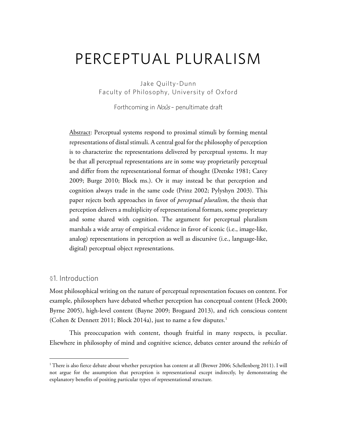# PERCEPTUAL PLURALISM

Jake Quilty-Dunn Faculty of Philosophy, University of Oxford

Forthcoming in Noûs - penultimate draft

Abstract: Perceptual systems respond to proximal stimuli by forming mental representations of distal stimuli. A central goal for the philosophy of perception is to characterize the representations delivered by perceptual systems. It may be that all perceptual representations are in some way proprietarily perceptual and differ from the representational format of thought (Dretske 1981; Carey 2009; Burge 2010; Block ms.). Or it may instead be that perception and cognition always trade in the same code (Prinz 2002; Pylyshyn 2003). This paper rejects both approaches in favor of *perceptual pluralism*, the thesis that perception delivers a multiplicity of representational formats, some proprietary and some shared with cognition. The argument for perceptual pluralism marshals a wide array of empirical evidence in favor of iconic (i.e., image-like, analog) representations in perception as well as discursive (i.e., language-like, digital) perceptual object representations.

# §1. Introduction

Most philosophical writing on the nature of perceptual representation focuses on content. For example, philosophers have debated whether perception has conceptual content (Heck 2000; Byrne 2005), high-level content (Bayne 2009; Brogaard 2013), and rich conscious content (Cohen & Dennett 2011; Block 2014a), just to name a few disputes.<sup>1</sup>

This preoccupation with content, though fruitful in many respects, is peculiar. Elsewhere in philosophy of mind and cognitive science, debates center around the *vehicles* of

 $1$ <sup>1</sup> There is also fierce debate about whether perception has content at all (Brewer 2006; Schellenberg 2011). I will not argue for the assumption that perception is representational except indirectly, by demonstrating the explanatory benefits of positing particular types of representational structure.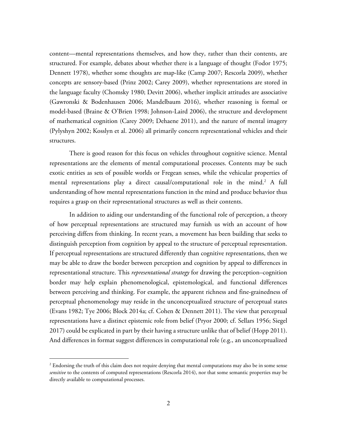content—mental representations themselves, and how they, rather than their contents, are structured. For example, debates about whether there is a language of thought (Fodor 1975; Dennett 1978), whether some thoughts are map-like (Camp 2007; Rescorla 2009), whether concepts are sensory-based (Prinz 2002; Carey 2009), whether representations are stored in the language faculty (Chomsky 1980; Devitt 2006), whether implicit attitudes are associative (Gawronski & Bodenhausen 2006; Mandelbaum 2016), whether reasoning is formal or model-based (Braine & O'Brien 1998; Johnson-Laird 2006), the structure and development of mathematical cognition (Carey 2009; Dehaene 2011), and the nature of mental imagery (Pylyshyn 2002; Kosslyn et al. 2006) all primarily concern representational vehicles and their structures.

There is good reason for this focus on vehicles throughout cognitive science. Mental representations are the elements of mental computational processes. Contents may be such exotic entities as sets of possible worlds or Fregean senses, while the vehicular properties of mental representations play a direct causal/computational role in the mind.<sup>2</sup> A full understanding of how mental representations function in the mind and produce behavior thus requires a grasp on their representational structures as well as their contents.

In addition to aiding our understanding of the functional role of perception, a theory of how perceptual representations are structured may furnish us with an account of how perceiving differs from thinking. In recent years, a movement has been building that seeks to distinguish perception from cognition by appeal to the structure of perceptual representation. If perceptual representations are structured differently than cognitive representations, then we may be able to draw the border between perception and cognition by appeal to differences in representational structure. This *representational strategy* for drawing the perception–cognition border may help explain phenomenological, epistemological, and functional differences between perceiving and thinking. For example, the apparent richness and fine-grainedness of perceptual phenomenology may reside in the unconceptualized structure of perceptual states (Evans 1982; Tye 2006; Block 2014a; cf. Cohen & Dennett 2011). The view that perceptual representations have a distinct epistemic role from belief (Pryor 2000; cf. Sellars 1956; Siegel 2017) could be explicated in part by their having a structure unlike that of belief (Hopp 2011). And differences in format suggest differences in computational role (e.g., an unconceptualized

 $2$  Endorsing the truth of this claim does not require denying that mental computations may also be in some sense *sensitive* to the contents of computed representations (Rescorla 2014), nor that some semantic properties may be directly available to computational processes.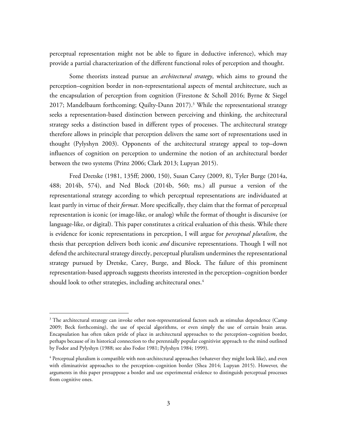perceptual representation might not be able to figure in deductive inference), which may provide a partial characterization of the different functional roles of perception and thought.

Some theorists instead pursue an *architectural strategy*, which aims to ground the perception–cognition border in non-representational aspects of mental architecture, such as the encapsulation of perception from cognition (Firestone & Scholl 2016; Byrne & Siegel 2017; Mandelbaum forthcoming; Quilty-Dunn  $2017$ ).<sup>3</sup> While the representational strategy seeks a representation-based distinction between perceiving and thinking, the architectural strategy seeks a distinction based in different types of processes. The architectural strategy therefore allows in principle that perception delivers the same sort of representations used in thought (Pylyshyn 2003). Opponents of the architectural strategy appeal to top–down influences of cognition on perception to undermine the notion of an architectural border between the two systems (Prinz 2006; Clark 2013; Lupyan 2015).

Fred Dretske (1981, 135ff; 2000, 150), Susan Carey (2009, 8), Tyler Burge (2014a, 488; 2014b, 574), and Ned Block (2014b, 560; ms.) all pursue a version of the representational strategy according to which perceptual representations are individuated at least partly in virtue of their *format*. More specifically, they claim that the format of perceptual representation is iconic (or image-like, or analog) while the format of thought is discursive (or language-like, or digital). This paper constitutes a critical evaluation of this thesis. While there is evidence for iconic representations in perception, I will argue for *perceptual pluralism*, the thesis that perception delivers both iconic *and* discursive representations. Though I will not defend the architectural strategy directly, perceptual pluralism undermines the representational strategy pursued by Dretske, Carey, Burge, and Block. The failure of this prominent representation-based approach suggests theorists interested in the perception–cognition border should look to other strategies, including architectural ones.<sup>4</sup>

 $3$  The architectural strategy can invoke other non-representational factors such as stimulus dependence (Camp 2009; Beck forthcoming), the use of special algorithms, or even simply the use of certain brain areas. Encapsulation has often taken pride of place in architectural approaches to the perception–cognition border, perhaps because of its historical connection to the perennially popular cognitivist approach to the mind outlined by Fodor and Pylyshyn (1988; see also Fodor 1981; Pylyshyn 1984; 1999).

<sup>&</sup>lt;sup>4</sup> Perceptual pluralism is compatible with non-architectural approaches (whatever they might look like), and even with eliminativist approaches to the perception–cognition border (Shea 2014; Lupyan 2015). However, the arguments in this paper presuppose a border and use experimental evidence to distinguish perceptual processes from cognitive ones.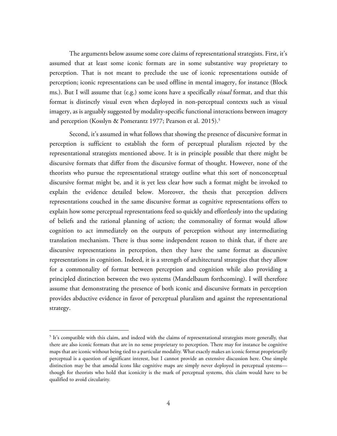The arguments below assume some core claims of representational strategists. First, it's assumed that at least some iconic formats are in some substantive way proprietary to perception. That is not meant to preclude the use of iconic representations outside of perception; iconic representations can be used offline in mental imagery, for instance (Block ms.). But I will assume that (e.g.) some icons have a specifically *visual* format, and that this format is distinctly visual even when deployed in non-perceptual contexts such as visual imagery, as is arguably suggested by modality-specific functional interactions between imagery and perception (Kosslyn & Pomerantz 1977; Pearson et al. 2015).<sup>5</sup>

Second, it's assumed in what follows that showing the presence of discursive format in perception is sufficient to establish the form of perceptual pluralism rejected by the representational strategists mentioned above. It is in principle possible that there might be discursive formats that differ from the discursive format of thought. However, none of the theorists who pursue the representational strategy outline what this sort of nonconceptual discursive format might be, and it is yet less clear how such a format might be invoked to explain the evidence detailed below. Moreover, the thesis that perception delivers representations couched in the same discursive format as cognitive representations offers to explain how some perceptual representations feed so quickly and effortlessly into the updating of beliefs and the rational planning of action; the commonality of format would allow cognition to act immediately on the outputs of perception without any intermediating translation mechanism. There is thus some independent reason to think that, if there are discursive representations in perception, then they have the same format as discursive representations in cognition. Indeed, it is a strength of architectural strategies that they allow for a commonality of format between perception and cognition while also providing a principled distinction between the two systems (Mandelbaum forthcoming). I will therefore assume that demonstrating the presence of both iconic and discursive formats in perception provides abductive evidence in favor of perceptual pluralism and against the representational strategy.

<sup>&</sup>lt;sup>5</sup> It's compatible with this claim, and indeed with the claims of representational strategists more generally, that there are also iconic formats that are in no sense proprietary to perception. There may for instance be cognitive maps that are iconic without being tied to a particular modality. What exactly makes an iconic format proprietarily perceptual is a question of significant interest, but I cannot provide an extensive discussion here. One simple distinction may be that amodal icons like cognitive maps are simply never deployed in perceptual systems though for theorists who hold that iconicity is the mark of perceptual systems, this claim would have to be qualified to avoid circularity.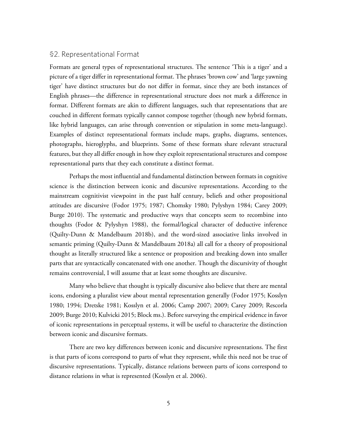## §2. Representational Format

Formats are general types of representational structures. The sentence 'This is a tiger' and a picture of a tiger differ in representational format. The phrases 'brown cow' and 'large yawning tiger' have distinct structures but do not differ in format, since they are both instances of English phrases—the difference in representational structure does not mark a difference in format. Different formats are akin to different languages, such that representations that are couched in different formats typically cannot compose together (though new hybrid formats, like hybrid languages, can arise through convention or stipulation in some meta-language). Examples of distinct representational formats include maps, graphs, diagrams, sentences, photographs, hieroglyphs, and blueprints. Some of these formats share relevant structural features, but they all differ enough in how they exploit representational structures and compose representational parts that they each constitute a distinct format.

Perhaps the most influential and fundamental distinction between formats in cognitive science is the distinction between iconic and discursive representations. According to the mainstream cognitivist viewpoint in the past half century, beliefs and other propositional attitudes are discursive (Fodor 1975; 1987; Chomsky 1980; Pylyshyn 1984; Carey 2009; Burge 2010). The systematic and productive ways that concepts seem to recombine into thoughts (Fodor & Pylyshyn 1988), the formal/logical character of deductive inference (Quilty-Dunn & Mandelbaum 2018b), and the word-sized associative links involved in semantic priming (Quilty-Dunn & Mandelbaum 2018a) all call for a theory of propositional thought as literally structured like a sentence or proposition and breaking down into smaller parts that are syntactically concatenated with one another. Though the discursivity of thought remains controversial, I will assume that at least some thoughts are discursive.

Many who believe that thought is typically discursive also believe that there are mental icons, endorsing a pluralist view about mental representation generally (Fodor 1975; Kosslyn 1980; 1994; Dretske 1981; Kosslyn et al. 2006; Camp 2007; 2009; Carey 2009; Rescorla 2009; Burge 2010; Kulvicki 2015; Block ms.). Before surveying the empirical evidence in favor of iconic representations in perceptual systems, it will be useful to characterize the distinction between iconic and discursive formats.

There are two key differences between iconic and discursive representations. The first is that parts of icons correspond to parts of what they represent, while this need not be true of discursive representations. Typically, distance relations between parts of icons correspond to distance relations in what is represented (Kosslyn et al. 2006).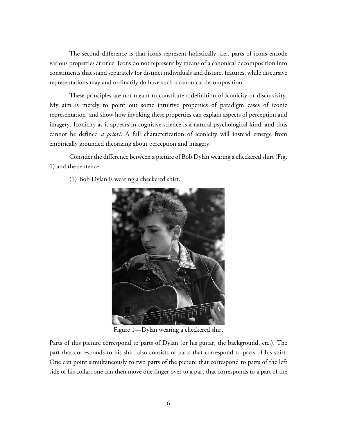The second difference is that icons represent holistically, i.e., parts of icons encode various properties at once. Icons do not represent by means of a canonical decomposition into constituents that stand separately for distinct individuals and distinct features, while discursive representations may and ordinarily do have such a canonical decomposition.

These principles are not meant to constitute a definition of iconicity or discursivity. My aim is merely to point out some intuitive properties of paradigm cases of iconic representation and show how invoking these properties can explain aspects of perception and imagery. Iconicity as it appears in cognitive science is a natural psychological kind, and thus cannot be defined *a priori*. A full characterization of iconicity will instead emerge from empirically grounded theorizing about perception and imagery.

Consider the difference between a picture of Bob Dylan wearing a checkered shirt (Fig. 1) and the sentence

(1) Bob Dylan is wearing a checkered shirt.



Figure 1—Dylan wearing a checkered shirt

Parts of this picture correspond to parts of Dylan (or his guitar, the background, etc.). The part that corresponds to his shirt also consists of parts that correspond to parts of his shirt. One can point simultaneously to two parts of the picture that correspond to parts of the left side of his collar; one can then move one finger over to a part that corresponds to a part of the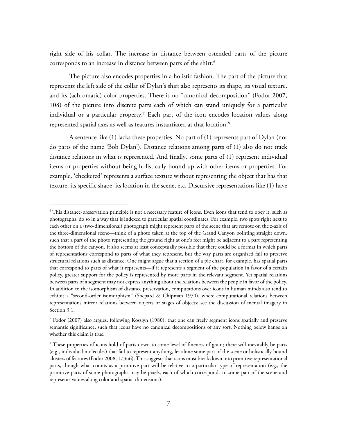right side of his collar. The increase in distance between ostended parts of the picture corresponds to an increase in distance between parts of the shirt.<sup>6</sup>

The picture also encodes properties in a holistic fashion. The part of the picture that represents the left side of the collar of Dylan's shirt also represents its shape, its visual texture, and its (achromatic) color properties. There is no "canonical decomposition" (Fodor 2007, 108) of the picture into discrete parts each of which can stand uniquely for a particular individual or a particular property.<sup>7</sup> Each part of the icon encodes location values along represented spatial axes as well as features instantiated at that location.<sup>8</sup>

A sentence like (1) lacks these properties. No part of (1) represents part of Dylan (nor do parts of the name 'Bob Dylan'). Distance relations among parts of (1) also do not track distance relations in what is represented. And finally, some parts of (1) represent individual items or properties without being holistically bound up with other items or properties. For example, 'checkered' represents a surface texture without representing the object that has that texture, its specific shape, its location in the scene, etc. Discursive representations like (1) have

<sup>&</sup>lt;sup>6</sup> This distance-preservation principle is not a necessary feature of icons. Even icons that tend to obey it, such as photographs, do so in a way that is indexed to particular spatial coordinates. For example, two spots right next to each other on a (two-dimensional) photograph might represent parts of the scene that are remote on the z-axis of the three-dimensional scene—think of a photo taken at the top of the Grand Canyon pointing straight down, such that a part of the photo representing the ground right at one's feet might be adjacent to a part representing the bottom of the canyon. It also seems at least conceptually possible that there could be a format in which parts of representations correspond to parts of what they represent, but the way parts are organized fail to preserve structural relations such as distance. One might argue that a section of a pie chart, for example, has spatial parts that correspond to parts of what it represents—if it represents a segment of the population in favor of a certain policy, greater support for the policy is represented by more parts in the relevant segment. Yet spatial relations between parts of a segment may not express anything about the relations between the people in favor of the policy. In addition to the isomorphism of distance preservation, computations over icons in human minds also tend to exhibit a "second-order isomorphism" (Shepard & Chipman 1970), where computational relations between representations mirror relations between objects or stages of objects; see the discussion of mental imagery in Section 3.1.

<sup>7</sup> Fodor (2007) also argues, following Kosslyn (1980), that one can freely segment icons spatially and preserve semantic significance, such that icons have no canonical decompositions of any sort. Nothing below hangs on whether this claim is true.

<sup>&</sup>lt;sup>8</sup> These properties of icons hold of parts down to some level of fineness of grain; there will inevitably be parts (e.g., individual molecules) that fail to represent anything, let alone some part of the scene or holistically bound clusters of features (Fodor 2008, 173n6). This suggests that icons must break down into primitive representational parts, though what counts as a primitive part will be relative to a particular type of representation (e.g., the primitive parts of some photographs may be pixels, each of which corresponds to some part of the scene and represents values along color and spatial dimensions).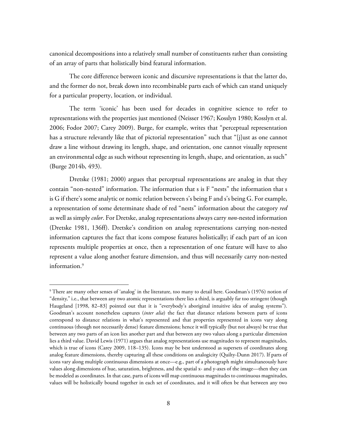canonical decompositions into a relatively small number of constituents rather than consisting of an array of parts that holistically bind featural information.

The core difference between iconic and discursive representations is that the latter do, and the former do not, break down into recombinable parts each of which can stand uniquely for a particular property, location, or individual.

The term 'iconic' has been used for decades in cognitive science to refer to representations with the properties just mentioned (Neisser 1967; Kosslyn 1980; Kosslyn et al. 2006; Fodor 2007; Carey 2009). Burge, for example, writes that "perceptual representation has a structure relevantly like that of pictorial representation" such that "[j]ust as one cannot draw a line without drawing its length, shape, and orientation, one cannot visually represent an environmental edge as such without representing its length, shape, and orientation, as such" (Burge 2014b, 493).

Dretske (1981; 2000) argues that perceptual representations are analog in that they contain "non-nested" information. The information that s is F "nests" the information that s is G if there's some analytic or nomic relation between s's being F and s's being G. For example, a representation of some determinate shade of red "nests" information about the category *red* as well as simply *color*. For Dretske, analog representations always carry *non-*nested information (Dretske 1981, 136ff). Dretske's condition on analog representations carrying non-nested information captures the fact that icons compose features holistically; if each part of an icon represents multiple properties at once, then a representation of one feature will have to also represent a value along another feature dimension, and thus will necessarily carry non-nested information.9

<sup>&</sup>lt;sup>9</sup> There are many other senses of 'analog' in the literature, too many to detail here. Goodman's (1976) notion of "density," i.e., that between any two atomic representations there lies a third, is arguably far too stringent (though Haugeland [1998, 82–83] pointed out that it is "everybody's aboriginal intuitive idea of analog systems"). Goodman's account nonetheless captures (*inter alia*) the fact that distance relations between parts of icons correspond to distance relations in what's represented and that properties represented in icons vary along continuous (though not necessarily dense) feature dimensions; hence it will typically (but not always) be true that between any two parts of an icon lies another part and that between any two values along a particular dimension lies a third value. David Lewis (1971) argues that analog representations use magnitudes to represent magnitudes, which is true of icons (Carey 2009, 118–135). Icons may be best understood as supersets of coordinates along analog feature dimensions, thereby capturing all these conditions on analogicity (Quilty-Dunn 2017). If parts of icons vary along multiple continuous dimensions at once—e.g., part of a photograph might simultaneously have values along dimensions of hue, saturation, brightness, and the spatial x- and y-axes of the image—then they can be modeled as coordinates. In that case, parts of icons will map continuous magnitudes to continuous magnitudes, values will be holistically bound together in each set of coordinates, and it will often be that between any two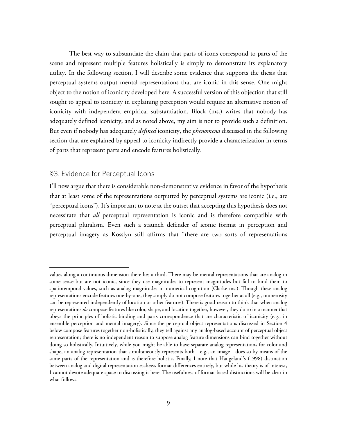The best way to substantiate the claim that parts of icons correspond to parts of the scene and represent multiple features holistically is simply to demonstrate its explanatory utility. In the following section, I will describe some evidence that supports the thesis that perceptual systems output mental representations that are iconic in this sense. One might object to the notion of iconicity developed here. A successful version of this objection that still sought to appeal to iconicity in explaining perception would require an alternative notion of iconicity with independent empirical substantiation. Block (ms.) writes that nobody has adequately defined iconicity, and as noted above, my aim is not to provide such a definition. But even if nobody has adequately *defined* iconicity, the *phenomena* discussed in the following section that are explained by appeal to iconicity indirectly provide a characterization in terms of parts that represent parts and encode features holistically.

# §3. Evidence for Perceptual Icons

 $\overline{a}$ 

I'll now argue that there is considerable non-demonstrative evidence in favor of the hypothesis that at least some of the representations outputted by perceptual systems are iconic (i.e., are "perceptual icons"). It's important to note at the outset that accepting this hypothesis does not necessitate that *all* perceptual representation is iconic and is therefore compatible with perceptual pluralism. Even such a staunch defender of iconic format in perception and perceptual imagery as Kosslyn still affirms that "there are two sorts of representations

values along a continuous dimension there lies a third. There may be mental representations that are analog in some sense but are not iconic, since they use magnitudes to represent magnitudes but fail to bind them to spatiotemporal values, such as analog magnitudes in numerical cognition (Clarke ms.). Though these analog representations encode features one-by-one, they simply do not compose features together at all (e.g., numerosity can be represented independently of location or other features). There is good reason to think that when analog representations *do* compose features like color, shape, and location together, however, they do so in a manner that obeys the principles of holistic binding and parts correspondence that are characteristic of iconicity (e.g., in ensemble perception and mental imagery). Since the perceptual object representations discussed in Section 4 below compose features together non-holistically, they tell against any analog-based account of perceptual object representation; there is no independent reason to suppose analog feature dimensions can bind together without doing so holistically. Intuitively, while you might be able to have separate analog representations for color and shape, an analog representation that simultaneously represents both—e.g., an image—does so by means of the same parts of the representation and is therefore holistic. Finally, I note that Haugeland's (1998) distinction between analog and digital representation eschews format differences entirely, but while his theory is of interest, I cannot devote adequate space to discussing it here. The usefulness of format-based distinctions will be clear in what follows.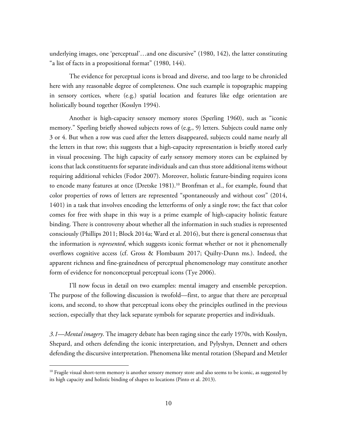underlying images, one 'perceptual'…and one discursive" (1980, 142), the latter constituting "a list of facts in a propositional format" (1980, 144).

The evidence for perceptual icons is broad and diverse, and too large to be chronicled here with any reasonable degree of completeness. One such example is topographic mapping in sensory cortices, where (e.g.) spatial location and features like edge orientation are holistically bound together (Kosslyn 1994).

Another is high-capacity sensory memory stores (Sperling 1960), such as "iconic memory." Sperling briefly showed subjects rows of (e.g., 9) letters. Subjects could name only 3 or 4. But when a row was cued after the letters disappeared, subjects could name nearly all the letters in that row; this suggests that a high-capacity representation is briefly stored early in visual processing. The high capacity of early sensory memory stores can be explained by icons that lack constituents for separate individuals and can thus store additional items without requiring additional vehicles (Fodor 2007). Moreover, holistic feature-binding requires icons to encode many features at once (Dretske 1981).<sup>10</sup> Bronfman et al., for example, found that color properties of rows of letters are represented "spontaneously and without cost" (2014, 1401) in a task that involves encoding the letterforms of only a single row; the fact that color comes for free with shape in this way is a prime example of high-capacity holistic feature binding. There is controversy about whether all the information in such studies is represented consciously (Phillips 2011; Block 2014a; Ward et al. 2016), but there is general consensus that the information is *represented*, which suggests iconic format whether or not it phenomenally overflows cognitive access (cf. Gross & Flombaum 2017; Quilty-Dunn ms.). Indeed, the apparent richness and fine-grainedness of perceptual phenomenology may constitute another form of evidence for nonconceptual perceptual icons (Tye 2006).

I'll now focus in detail on two examples: mental imagery and ensemble perception. The purpose of the following discussion is twofold—first, to argue that there are perceptual icons, and second, to show that perceptual icons obey the principles outlined in the previous section, especially that they lack separate symbols for separate properties and individuals.

*3.1—Mental imagery*. The imagery debate has been raging since the early 1970s, with Kosslyn, Shepard, and others defending the iconic interpretation, and Pylyshyn, Dennett and others defending the discursive interpretation. Phenomena like mental rotation (Shepard and Metzler

 $10$  Fragile visual short-term memory is another sensory memory store and also seems to be iconic, as suggested by its high capacity and holistic binding of shapes to locations (Pinto et al. 2013).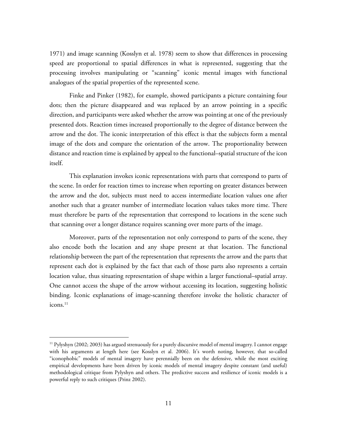1971) and image scanning (Kosslyn et al. 1978) seem to show that differences in processing speed are proportional to spatial differences in what is represented, suggesting that the processing involves manipulating or "scanning" iconic mental images with functional analogues of the spatial properties of the represented scene.

Finke and Pinker (1982), for example, showed participants a picture containing four dots; then the picture disappeared and was replaced by an arrow pointing in a specific direction, and participants were asked whether the arrow was pointing at one of the previously presented dots. Reaction times increased proportionally to the degree of distance between the arrow and the dot. The iconic interpretation of this effect is that the subjects form a mental image of the dots and compare the orientation of the arrow. The proportionality between distance and reaction time is explained by appeal to the functional–spatial structure of the icon itself.

This explanation invokes iconic representations with parts that correspond to parts of the scene. In order for reaction times to increase when reporting on greater distances between the arrow and the dot, subjects must need to access intermediate location values one after another such that a greater number of intermediate location values takes more time. There must therefore be parts of the representation that correspond to locations in the scene such that scanning over a longer distance requires scanning over more parts of the image.

Moreover, parts of the representation not only correspond to parts of the scene, they also encode both the location and any shape present at that location. The functional relationship between the part of the representation that represents the arrow and the parts that represent each dot is explained by the fact that each of those parts also represents a certain location value, thus situating representation of shape within a larger functional–spatial array. One cannot access the shape of the arrow without accessing its location, suggesting holistic binding. Iconic explanations of image-scanning therefore invoke the holistic character of  $i$ cons. $^{11}$ 

<sup>&</sup>lt;sup>11</sup> Pylyshyn (2002; 2003) has argued strenuously for a purely discursive model of mental imagery. I cannot engage with his arguments at length here (see Kosslyn et al. 2006). It's worth noting, however, that so-called "iconophobic" models of mental imagery have perennially been on the defensive, while the most exciting empirical developments have been driven by iconic models of mental imagery despite constant (and useful) methodological critique from Pylyshyn and others. The predictive success and resilience of iconic models is a powerful reply to such critiques (Prinz 2002).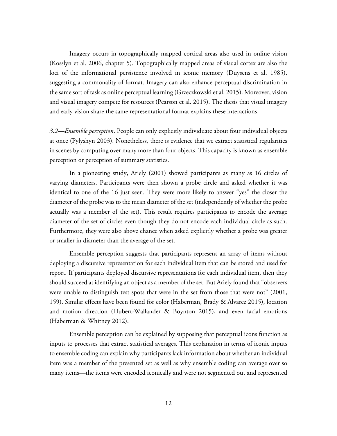Imagery occurs in topographically mapped cortical areas also used in online vision (Kosslyn et al. 2006, chapter 5). Topographically mapped areas of visual cortex are also the loci of the informational persistence involved in iconic memory (Duysens et al. 1985), suggesting a commonality of format. Imagery can also enhance perceptual discrimination in the same sort of task as online perceptual learning (Grzeczkowski et al. 2015). Moreover, vision and visual imagery compete for resources (Pearson et al. 2015). The thesis that visual imagery and early vision share the same representational format explains these interactions.

*3.2—Ensemble perception*. People can only explicitly individuate about four individual objects at once (Pylyshyn 2003). Nonetheless, there is evidence that we extract statistical regularities in scenes by computing over many more than four objects. This capacity is known as ensemble perception or perception of summary statistics.

In a pioneering study, Ariely (2001) showed participants as many as 16 circles of varying diameters. Participants were then shown a probe circle and asked whether it was identical to one of the 16 just seen. They were more likely to answer "yes" the closer the diameter of the probe was to the mean diameter of the set (independently of whether the probe actually was a member of the set). This result requires participants to encode the average diameter of the set of circles even though they do not encode each individual circle as such. Furthermore, they were also above chance when asked explicitly whether a probe was greater or smaller in diameter than the average of the set.

Ensemble perception suggests that participants represent an array of items without deploying a discursive representation for each individual item that can be stored and used for report. If participants deployed discursive representations for each individual item, then they should succeed at identifying an object as a member of the set. But Ariely found that "observers were unable to distinguish test spots that were in the set from those that were not" (2001, 159). Similar effects have been found for color (Haberman, Brady & Alvarez 2015), location and motion direction (Hubert-Wallander & Boynton 2015), and even facial emotions (Haberman & Whitney 2012).

Ensemble perception can be explained by supposing that perceptual icons function as inputs to processes that extract statistical averages. This explanation in terms of iconic inputs to ensemble coding can explain why participants lack information about whether an individual item was a member of the presented set as well as why ensemble coding can average over so many items—the items were encoded iconically and were not segmented out and represented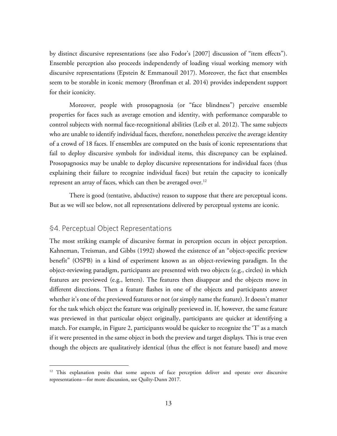by distinct discursive representations (see also Fodor's [2007] discussion of "item effects"). Ensemble perception also proceeds independently of loading visual working memory with discursive representations (Epstein & Emmanouil 2017). Moreover, the fact that ensembles seem to be storable in iconic memory (Bronfman et al. 2014) provides independent support for their iconicity.

Moreover, people with prosopagnosia (or "face blindness") perceive ensemble properties for faces such as average emotion and identity, with performance comparable to control subjects with normal face-recognitional abilities (Leib et al. 2012). The same subjects who are unable to identify individual faces, therefore, nonetheless perceive the average identity of a crowd of 18 faces. If ensembles are computed on the basis of iconic representations that fail to deploy discursive symbols for individual items, this discrepancy can be explained. Prosopagnosics may be unable to deploy discursive representations for individual faces (thus explaining their failure to recognize individual faces) but retain the capacity to iconically represent an array of faces, which can then be averaged over.<sup>12</sup>

There is good (tentative, abductive) reason to suppose that there are perceptual icons. But as we will see below, not all representations delivered by perceptual systems are iconic.

# §4. Perceptual Object Representations

The most striking example of discursive format in perception occurs in object perception. Kahneman, Treisman, and Gibbs (1992) showed the existence of an "object-specific preview benefit" (OSPB) in a kind of experiment known as an object-reviewing paradigm. In the object-reviewing paradigm, participants are presented with two objects (e.g., circles) in which features are previewed (e.g., letters). The features then disappear and the objects move in different directions. Then a feature flashes in one of the objects and participants answer whether it's one of the previewed features or not (or simply name the feature). It doesn't matter for the task which object the feature was originally previewed in. If, however, the same feature was previewed in that particular object originally, participants are quicker at identifying a match. For example, in Figure 2, participants would be quicker to recognize the 'T' as a match if it were presented in the same object in both the preview and target displays. This is true even though the objects are qualitatively identical (thus the effect is not feature based) and move

 $12$  This explanation posits that some aspects of face perception deliver and operate over discursive representations—for more discussion, see Quilty-Dunn 2017.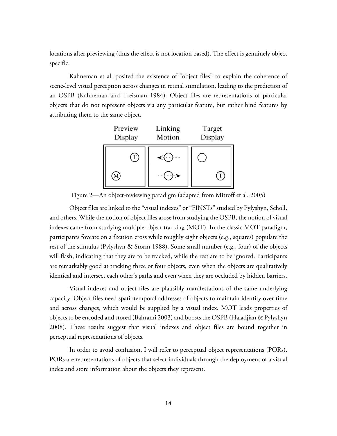locations after previewing (thus the effect is not location based). The effect is genuinely object specific.

Kahneman et al. posited the existence of "object files" to explain the coherence of scene-level visual perception across changes in retinal stimulation, leading to the prediction of an OSPB (Kahneman and Treisman 1984). Object files are representations of particular objects that do not represent objects via any particular feature, but rather bind features by attributing them to the same object.



Figure 2—An object-reviewing paradigm (adapted from Mitroff et al. 2005)

Object files are linked to the "visual indexes" or "FINSTs" studied by Pylyshyn, Scholl, and others. While the notion of object files arose from studying the OSPB, the notion of visual indexes came from studying multiple-object tracking (MOT). In the classic MOT paradigm, participants foveate on a fixation cross while roughly eight objects (e.g., squares) populate the rest of the stimulus (Pylyshyn & Storm 1988). Some small number (e.g., four) of the objects will flash, indicating that they are to be tracked, while the rest are to be ignored. Participants are remarkably good at tracking three or four objects, even when the objects are qualitatively identical and intersect each other's paths and even when they are occluded by hidden barriers.

Visual indexes and object files are plausibly manifestations of the same underlying capacity. Object files need spatiotemporal addresses of objects to maintain identity over time and across changes, which would be supplied by a visual index. MOT leads properties of objects to be encoded and stored (Bahrami 2003) and boosts the OSPB (Haladjian & Pylyshyn 2008). These results suggest that visual indexes and object files are bound together in perceptual representations of objects.

In order to avoid confusion, I will refer to perceptual object representations (PORs). PORs are representations of objects that select individuals through the deployment of a visual index and store information about the objects they represent.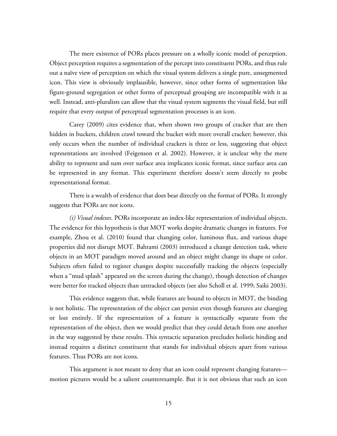The mere existence of PORs places pressure on a wholly iconic model of perception. Object perception requires a segmentation of the percept into constituent PORs, and thus rule out a naïve view of perception on which the visual system delivers a single pure, unsegmented icon. This view is obviously implausible, however, since other forms of segmentation like figure-ground segregation or other forms of perceptual grouping are incompatible with it as well. Instead, anti-pluralists can allow that the visual system segments the visual field, but still require that every output of perceptual segmentation processes is an icon.

Carey (2009) cites evidence that, when shown two groups of cracker that are then hidden in buckets, children crawl toward the bucket with more overall cracker; however, this only occurs when the number of individual crackers is three or less, suggesting that object representations are involved (Feigenson et al. 2002). However, it is unclear why the mere ability to represent and sum over surface area implicates iconic format, since surface area can be represented in any format. This experiment therefore doesn't seem directly to probe representational format.

There is a wealth of evidence that does bear directly on the format of PORs. It strongly suggests that PORs are not icons.

*(i) Visual indexes.* PORs incorporate an index-like representation of individual objects. The evidence for this hypothesis is that MOT works despite dramatic changes in features. For example, Zhou et al. (2010) found that changing color, luminous flux, and various shape properties did not disrupt MOT. Bahrami (2003) introduced a change detection task, where objects in an MOT paradigm moved around and an object might change its shape or color. Subjects often failed to register changes despite successfully tracking the objects (especially when a "mud splash" appeared on the screen during the change), though detection of changes were better for tracked objects than untracked objects (see also Scholl et al. 1999; Saiki 2003).

This evidence suggests that, while features are bound to objects in MOT, the binding is not holistic. The representation of the object can persist even though features are changing or lost entirely. If the representation of a feature is syntactically separate from the representation of the object, then we would predict that they could detach from one another in the way suggested by these results. This syntactic separation precludes holistic binding and instead requires a distinct constituent that stands for individual objects apart from various features. Thus PORs are not icons.

This argument is not meant to deny that an icon could represent changing features motion pictures would be a salient counterexample. But it is not obvious that such an icon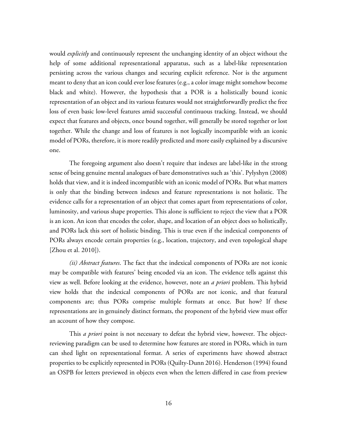would *explicitly* and continuously represent the unchanging identity of an object without the help of some additional representational apparatus, such as a label-like representation persisting across the various changes and securing explicit reference. Nor is the argument meant to deny that an icon could ever lose features (e.g., a color image might somehow become black and white). However, the hypothesis that a POR is a holistically bound iconic representation of an object and its various features would not straightforwardly predict the free loss of even basic low-level features amid successful continuous tracking. Instead, we should expect that features and objects, once bound together, will generally be stored together or lost together. While the change and loss of features is not logically incompatible with an iconic model of PORs, therefore, it is more readily predicted and more easily explained by a discursive one.

The foregoing argument also doesn't require that indexes are label-like in the strong sense of being genuine mental analogues of bare demonstratives such as 'this'. Pylyshyn (2008) holds that view, and it is indeed incompatible with an iconic model of PORs. But what matters is only that the binding between indexes and feature representations is not holistic. The evidence calls for a representation of an object that comes apart from representations of color, luminosity, and various shape properties. This alone is sufficient to reject the view that a POR is an icon. An icon that encodes the color, shape, and location of an object does so holistically, and PORs lack this sort of holistic binding. This is true even if the indexical components of PORs always encode certain properties (e.g., location, trajectory, and even topological shape [Zhou et al. 2010]).

*(ii) Abstract features*. The fact that the indexical components of PORs are not iconic may be compatible with features' being encoded via an icon. The evidence tells against this view as well. Before looking at the evidence, however, note an *a priori* problem. This hybrid view holds that the indexical components of PORs are not iconic, and that featural components are; thus PORs comprise multiple formats at once. But how? If these representations are in genuinely distinct formats, the proponent of the hybrid view must offer an account of how they compose.

This *a priori* point is not necessary to defeat the hybrid view, however. The objectreviewing paradigm can be used to determine how features are stored in PORs, which in turn can shed light on representational format. A series of experiments have showed abstract properties to be explicitly represented in PORs (Quilty-Dunn 2016). Henderson (1994) found an OSPB for letters previewed in objects even when the letters differed in case from preview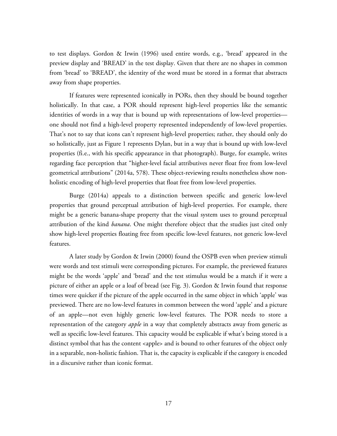to test displays. Gordon & Irwin (1996) used entire words, e.g., 'bread' appeared in the preview display and 'BREAD' in the test display. Given that there are no shapes in common from 'bread' to 'BREAD', the identity of the word must be stored in a format that abstracts away from shape properties.

If features were represented iconically in PORs, then they should be bound together holistically. In that case, a POR should represent high-level properties like the semantic identities of words in a way that is bound up with representations of low-level properties one should not find a high-level property represented independently of low-level properties. That's not to say that icons can't represent high-level properties; rather, they should only do so holistically, just as Figure 1 represents Dylan, but in a way that is bound up with low-level properties (fi.e., with his specific appearance in that photograph). Burge, for example, writes regarding face perception that "higher-level facial attributives never float free from low-level geometrical attributions" (2014a, 578). These object-reviewing results nonetheless show nonholistic encoding of high-level properties that float free from low-level properties.

Burge (2014a) appeals to a distinction between specific and generic low-level properties that ground perceptual attribution of high-level properties. For example, there might be a generic banana-shape property that the visual system uses to ground perceptual attribution of the kind *banana*. One might therefore object that the studies just cited only show high-level properties floating free from specific low-level features, not generic low-level features.

A later study by Gordon & Irwin (2000) found the OSPB even when preview stimuli were words and test stimuli were corresponding pictures. For example, the previewed features might be the words 'apple' and 'bread' and the test stimulus would be a match if it were a picture of either an apple or a loaf of bread (see Fig. 3). Gordon & Irwin found that response times were quicker if the picture of the apple occurred in the same object in which 'apple' was previewed. There are no low-level features in common between the word 'apple' and a picture of an apple—not even highly generic low-level features. The POR needs to store a representation of the category *apple* in a way that completely abstracts away from generic as well as specific low-level features. This capacity would be explicable if what's being stored is a distinct symbol that has the content <apple> and is bound to other features of the object only in a separable, non-holistic fashion. That is, the capacity is explicable if the category is encoded in a discursive rather than iconic format.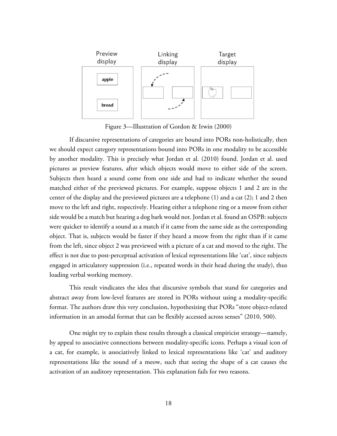![](_page_17_Figure_0.jpeg)

Figure 3—Illustration of Gordon & Irwin (2000)

If discursive representations of categories are bound into PORs non-holistically, then we should expect category representations bound into PORs in one modality to be accessible by another modality. This is precisely what Jordan et al. (2010) found. Jordan et al. used pictures as preview features, after which objects would move to either side of the screen. Subjects then heard a sound come from one side and had to indicate whether the sound matched either of the previewed pictures. For example, suppose objects 1 and 2 are in the center of the display and the previewed pictures are a telephone (1) and a cat (2); 1 and 2 then move to the left and right, respectively. Hearing either a telephone ring or a meow from either side would be a match but hearing a dog bark would not. Jordan et al. found an OSPB: subjects were quicker to identify a sound as a match if it came from the same side as the corresponding object. That is, subjects would be faster if they heard a meow from the right than if it came from the left, since object 2 was previewed with a picture of a cat and moved to the right. The effect is not due to post-perceptual activation of lexical representations like 'cat', since subjects engaged in articulatory suppression (i.e., repeated words in their head during the study), thus loading verbal working memory.

This result vindicates the idea that discursive symbols that stand for categories and abstract away from low-level features are stored in PORs without using a modality-specific format. The authors draw this very conclusion, hypothesizing that PORs "store object-related information in an amodal format that can be flexibly accessed across senses" (2010, 500).

One might try to explain these results through a classical empiricist strategy—namely, by appeal to associative connections between modality-specific icons. Perhaps a visual icon of a cat, for example, is associatively linked to lexical representations like 'cat' and auditory representations like the sound of a meow, such that seeing the shape of a cat causes the activation of an auditory representation. This explanation fails for two reasons.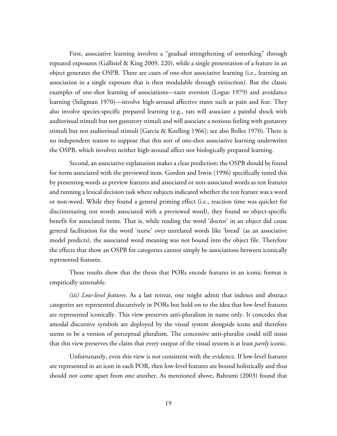First, associative learning involves a "gradual strengthening of something" through repeated exposures (Gallistel & King 2009, 220), while a single presentation of a feature in an object generates the OSPB. There are cases of one-shot associative learning (i.e., learning an association in a single exposure that is then modulable through extinction). But the classic examples of one-shot learning of associations—taste aversion (Logue 1979) and avoidance learning (Seligman 1970)—involve high-arousal affective states such as pain and fear. They also involve species-specific prepared learning (e.g., rats will associate a painful shock with audiovisual stimuli but not gustatory stimuli and will associate a noxious feeling with gustatory stimuli but not audiovisual stimuli [Garcia & Koelling 1966]; see also Bolles 1970). There is no independent reason to suppose that this sort of one-shot associative learning underwrites the OSPB, which involves neither high-arousal affect nor biologically prepared learning.

Second, an associative explanation makes a clear prediction: the OSPB should be found for items associated with the previewed item. Gordon and Irwin (1996) specifically tested this by presenting words as preview features and associated or non-associated words as test features and running a lexical decision task where subjects indicated whether the test feature was a word or non-word. While they found a general priming effect (i.e., reaction time was quicker for discriminating test words associated with a previewed word), they found *no* object-specific benefit for associated items. That is, while reading the word 'doctor' in an object did cause general facilitation for the word 'nurse' over unrelated words like 'bread' (as an associative model predicts), the associated word meaning was not bound into the object file. Therefore the effects that show an OSPB for categories cannot simply be associations between iconically represented features.

These results show that the thesis that PORs encode features in an iconic format is empirically untenable.

*(iii) Low-level features*. As a last retreat, one might admit that indexes and abstract categories are represented discursively in PORs but hold on to the idea that low-level features are represented iconically. This view preserves anti-pluralism in name only. It concedes that amodal discursive symbols are deployed by the visual system alongside icons and therefore seems to be a version of perceptual pluralism. The concessive anti-pluralist could still insist that this view preserves the claim that every output of the visual system is at least *partly* iconic.

Unfortunately, even this view is not consistent with the evidence. If low-level features are represented in an icon in each POR, then low-level features are bound holistically and thus should not come apart from one another. As mentioned above, Bahrami (2003) found that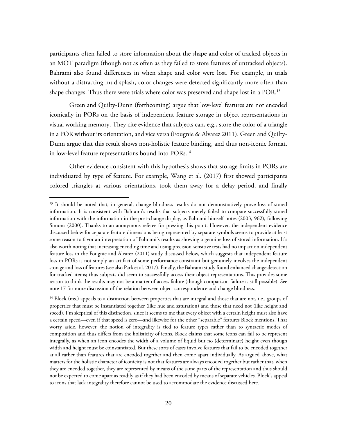participants often failed to store information about the shape and color of tracked objects in an MOT paradigm (though not as often as they failed to store features of untracked objects). Bahrami also found differences in when shape and color were lost. For example, in trials without a distracting mud splash, color changes were detected significantly more often than shape changes. Thus there were trials where color was preserved and shape lost in a POR.13

Green and Quilty-Dunn (forthcoming) argue that low-level features are not encoded iconically in PORs on the basis of independent feature storage in object representations in visual working memory. They cite evidence that subjects can, e.g., store the color of a triangle in a POR without its orientation, and vice versa (Fougnie & Alvarez 2011). Green and Quilty-Dunn argue that this result shows non-holistic feature binding, and thus non-iconic format, in low-level feature representations bound into PORs.<sup>14</sup>

Other evidence consistent with this hypothesis shows that storage limits in PORs are individuated by type of feature. For example, Wang et al. (2017) first showed participants colored triangles at various orientations, took them away for a delay period, and finally

<sup>&</sup>lt;sup>13</sup> It should be noted that, in general, change blindness results do not demonstratively prove loss of stored information. It is consistent with Bahrami's results that subjects merely failed to compare successfully stored information with the information in the post-change display, as Bahrami himself notes (2003, 962), following Simons (2000). Thanks to an anonymous referee for pressing this point. However, the independent evidence discussed below for separate feature dimensions being represented by separate symbols seems to provide at least some reason to favor an interpretation of Bahrami's results as showing a genuine loss of stored information. It's also worth noting that increasing encoding time and using precision-sensitive tests had no impact on independent feature loss in the Fougnie and Alvarez (2011) study discussed below, which suggests that independent feature loss in PORs is not simply an artifact of some performance constraint but genuinely involves the independent storage and loss of features (see also Park et al. 2017). Finally, the Bahrami study found enhanced change detection for tracked items; thus subjects did seem to successfully access their object representations. This provides some reason to think the results may not be a matter of access failure (though comparison failure is still possible). See note 17 for more discussion of the relation between object correspondence and change blindness.

<sup>&</sup>lt;sup>14</sup> Block (ms.) appeals to a distinction between properties that are integral and those that are not, i.e., groups of properties that must be instantiated together (like hue and saturation) and those that need not (like height and speed). I'm skeptical of this distinction, since it seems to me that every object with a certain height must also have a certain speed—even if that speed is zero—and likewise for the other "separable" features Block mentions. That worry aside, however, the notion of integrality is tied to feature types rather than to syntactic modes of composition and thus differs from the holisticity of icons. Block claims that some icons can fail to be represent integrally, as when an icon encodes the width of a volume of liquid but no (determinate) height even though width and height must be coinstantiated. But these sorts of cases involve features that fail to be encoded together at all rather than features that are encoded together and then come apart individually. As argued above, what matters for the holistic character of iconicity is not that features are always encoded together but rather that, when they are encoded together, they are represented by means of the same parts of the representation and thus should not be expected to come apart as readily as if they had been encoded by means of separate vehicles. Block's appeal to icons that lack integrality therefore cannot be used to accommodate the evidence discussed here.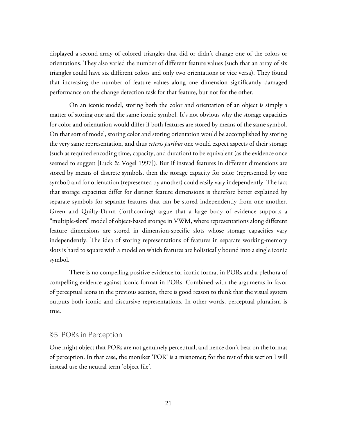displayed a second array of colored triangles that did or didn't change one of the colors or orientations. They also varied the number of different feature values (such that an array of six triangles could have six different colors and only two orientations or vice versa). They found that increasing the number of feature values along one dimension significantly damaged performance on the change detection task for that feature, but not for the other.

On an iconic model, storing both the color and orientation of an object is simply a matter of storing one and the same iconic symbol. It's not obvious why the storage capacities for color and orientation would differ if both features are stored by means of the same symbol. On that sort of model, storing color and storing orientation would be accomplished by storing the very same representation, and thus *ceteris paribus* one would expect aspects of their storage (such as required encoding time, capacity, and duration) to be equivalent (as the evidence once seemed to suggest [Luck & Vogel 1997]). But if instead features in different dimensions are stored by means of discrete symbols, then the storage capacity for color (represented by one symbol) and for orientation (represented by another) could easily vary independently. The fact that storage capacities differ for distinct feature dimensions is therefore better explained by separate symbols for separate features that can be stored independently from one another. Green and Quilty-Dunn (forthcoming) argue that a large body of evidence supports a "multiple-slots" model of object-based storage in VWM, where representations along different feature dimensions are stored in dimension-specific slots whose storage capacities vary independently. The idea of storing representations of features in separate working-memory slots is hard to square with a model on which features are holistically bound into a single iconic symbol.

There is no compelling positive evidence for iconic format in PORs and a plethora of compelling evidence against iconic format in PORs. Combined with the arguments in favor of perceptual icons in the previous section, there is good reason to think that the visual system outputs both iconic and discursive representations. In other words, perceptual pluralism is true.

#### §5. PORs in Perception

One might object that PORs are not genuinely perceptual, and hence don't bear on the format of perception. In that case, the moniker 'POR' is a misnomer; for the rest of this section I will instead use the neutral term 'object file'.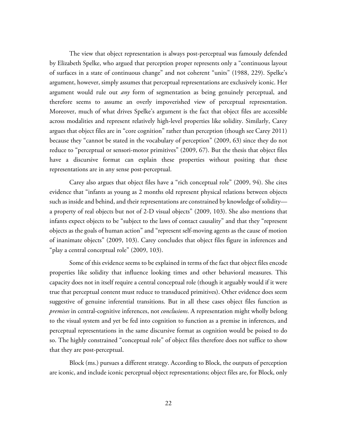The view that object representation is always post-perceptual was famously defended by Elizabeth Spelke, who argued that perception proper represents only a "continuous layout of surfaces in a state of continuous change" and not coherent "units" (1988, 229). Spelke's argument, however, simply assumes that perceptual representations are exclusively iconic. Her argument would rule out *any* form of segmentation as being genuinely perceptual, and therefore seems to assume an overly impoverished view of perceptual representation. Moreover, much of what drives Spelke's argument is the fact that object files are accessible across modalities and represent relatively high-level properties like solidity. Similarly, Carey argues that object files are in "core cognition" rather than perception (though see Carey 2011) because they "cannot be stated in the vocabulary of perception" (2009, 63) since they do not reduce to "perceptual or sensori-motor primitives" (2009, 67). But the thesis that object files have a discursive format can explain these properties without positing that these representations are in any sense post-perceptual.

Carey also argues that object files have a "rich conceptual role" (2009, 94). She cites evidence that "infants as young as 2 months old represent physical relations between objects such as inside and behind, and their representations are constrained by knowledge of solidity a property of real objects but not of 2-D visual objects" (2009, 103). She also mentions that infants expect objects to be "subject to the laws of contact causality" and that they "represent objects as the goals of human action" and "represent self-moving agents as the cause of motion of inanimate objects" (2009, 103). Carey concludes that object files figure in inferences and "play a central conceptual role" (2009, 103).

Some of this evidence seems to be explained in terms of the fact that object files encode properties like solidity that influence looking times and other behavioral measures. This capacity does not in itself require a central conceptual role (though it arguably would if it were true that perceptual content must reduce to transduced primitives). Other evidence does seem suggestive of genuine inferential transitions. But in all these cases object files function as *premises* in central-cognitive inferences, not *conclusions*. A representation might wholly belong to the visual system and yet be fed into cognition to function as a premise in inferences, and perceptual representations in the same discursive format as cognition would be poised to do so. The highly constrained "conceptual role" of object files therefore does not suffice to show that they are post-perceptual.

Block (ms.) pursues a different strategy. According to Block, the outputs of perception are iconic, and include iconic perceptual object representations; object files are, for Block, only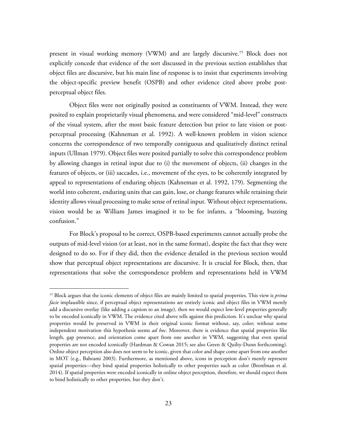present in visual working memory (VWM) and are largely discursive. <sup>15</sup> Block does not explicitly concede that evidence of the sort discussed in the previous section establishes that object files are discursive, but his main line of response is to insist that experiments involving the object-specific preview benefit (OSPB) and other evidence cited above probe postperceptual object files.

Object files were not originally posited as constituents of VWM. Instead, they were posited to explain proprietarily visual phenomena, and were considered "mid-level" constructs of the visual system, after the most basic feature detection but prior to late vision or postperceptual processing (Kahneman et al. 1992). A well-known problem in vision science concerns the correspondence of two temporally contiguous and qualitatively distinct retinal inputs (Ullman 1979). Object files were posited partially to solve this correspondence problem by allowing changes in retinal input due to (i) the movement of objects, (ii) changes in the features of objects, or (iii) saccades, i.e., movement of the eyes, to be coherently integrated by appeal to representations of enduring objects (Kahneman et al. 1992, 179). Segmenting the world into coherent, enduring units that can gain, lose, or change features while retaining their identity allows visual processing to make sense of retinal input. Without object representations, vision would be as William James imagined it to be for infants, a "blooming, buzzing confusion."

For Block's proposal to be correct, OSPB-based experiments cannot actually probe the outputs of mid-level vision (or at least, not in the same format), despite the fact that they were designed to do so. For if they did, then the evidence detailed in the previous section would show that perceptual object representations are discursive. It is crucial for Block, then, that representations that solve the correspondence problem and representations held in VWM

 <sup>15</sup> Block argues that the iconic elements of object files are mainly limited to spatial properties. This view is *prima facie* implausible since, if perceptual object representations are entirely iconic and object files in VWM merely add a discursive overlay (like adding a caption to an image), then we would expect low-level properties generally to be encoded iconically in VWM. The evidence cited above tells against this prediction. It's unclear why spatial properties would be preserved in VWM in their original iconic format without, say, color; without some independent motivation this hypothesis seems *ad hoc*. Moreover, there is evidence that spatial properties like length, gap presence, and orientation come apart from one another in VWM, suggesting that even spatial properties are not encoded iconically (Hardman & Cowan 2015; see also Green & Quilty-Dunn forthcoming). Online object perception also does not seem to be iconic, given that color and shape come apart from one another in MOT (e.g., Bahrami 2003). Furthermore, as mentioned above, icons in perception don't merely represent spatial properties—they bind spatial properties holistically to other properties such as color (Bronfman et al. 2014). If spatial properties were encoded iconically in online object perception, therefore, we should expect them to bind holistically to other properties, but they don't.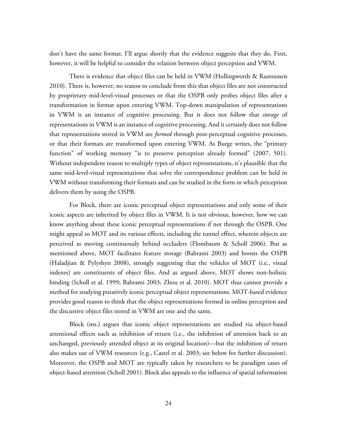don't have the same format. I'll argue shortly that the evidence suggests that they do. First, however, it will be helpful to consider the relation between object perception and VWM.

There is evidence that object files can be held in VWM (Hollingworth & Rasmussen 2010). There is, however, no reason to conclude from this that object files are not constructed by proprietary mid-level-visual processes or that the OSPB only probes object files after a transformation in format upon entering VWM. Top-down manipulation of representations in VWM is an instance of cognitive processing. But it does not follow that *storage* of representations in VWM is an instance of cognitive processing. And it certainly does not follow that representations stored in VWM are *formed* through post-perceptual cognitive processes, or that their formats are transformed upon entering VWM. As Burge writes, the "primary function" of working memory "is to preserve perception already formed" (2007, 501). Without independent reason to multiply types of object representations, it's plausible that the same mid-level-visual representations that solve the correspondence problem can be held in VWM without transforming their formats and can be studied in the form in which perception delivers them by using the OSPB.

For Block, there are iconic perceptual object representations and only some of their iconic aspects are inherited by object files in VWM. It is not obvious, however, how we can know anything about these iconic perceptual representations if not through the OSPB. One might appeal to MOT and its various effects, including the tunnel effect, wherein objects are perceived as moving continuously behind occluders (Flombaum & Scholl 2006). But as mentioned above, MOT facilitates feature storage (Bahrami 2003) and boosts the OSPB (Haladjian & Pylyshyn 2008), strongly suggesting that the vehicles of MOT (i.e., visual indexes) are constituents of object files. And as argued above, MOT shows non-holistic binding (Scholl et al. 1999; Bahrami 2003; Zhou et al. 2010). MOT thus cannot provide a method for studying putatively iconic perceptual object representations. MOT-based evidence provides good reason to think that the object representations formed in online perception and the discursive object files stored in VWM are one and the same.

Block (ms.) argues that iconic object representations are studied via object-based attentional effects such as inhibition of return (i.e., the inhibition of attention back to an unchanged, previously attended object at its original location)—but the inhibition of return also makes use of VWM resources (e.g., Castel et al. 2003; see below for further discussion). Moreover, the OSPB and MOT are typically taken by researchers to be paradigm cases of object-based attention (Scholl 2001). Block also appeals to the influence of spatial information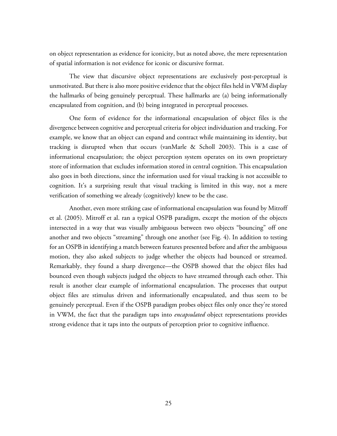on object representation as evidence for iconicity, but as noted above, the mere representation of spatial information is not evidence for iconic or discursive format.

The view that discursive object representations are exclusively post-perceptual is unmotivated. But there is also more positive evidence that the object files held in VWM display the hallmarks of being genuinely perceptual. These hallmarks are (a) being informationally encapsulated from cognition, and (b) being integrated in perceptual processes.

One form of evidence for the informational encapsulation of object files is the divergence between cognitive and perceptual criteria for object individuation and tracking. For example, we know that an object can expand and contract while maintaining its identity, but tracking is disrupted when that occurs (vanMarle & Scholl 2003). This is a case of informational encapsulation; the object perception system operates on its own proprietary store of information that excludes information stored in central cognition. This encapsulation also goes in both directions, since the information used for visual tracking is not accessible to cognition. It's a surprising result that visual tracking is limited in this way, not a mere verification of something we already (cognitively) knew to be the case.

Another, even more striking case of informational encapsulation was found by Mitroff et al. (2005). Mitroff et al. ran a typical OSPB paradigm, except the motion of the objects intersected in a way that was visually ambiguous between two objects "bouncing" off one another and two objects "streaming" through one another (see Fig. 4). In addition to testing for an OSPB in identifying a match between features presented before and after the ambiguous motion, they also asked subjects to judge whether the objects had bounced or streamed. Remarkably, they found a sharp divergence—the OSPB showed that the object files had bounced even though subjects judged the objects to have streamed through each other. This result is another clear example of informational encapsulation. The processes that output object files are stimulus driven and informationally encapsulated, and thus seem to be genuinely perceptual. Even if the OSPB paradigm probes object files only once they're stored in VWM, the fact that the paradigm taps into *encapsulated* object representations provides strong evidence that it taps into the outputs of perception prior to cognitive influence.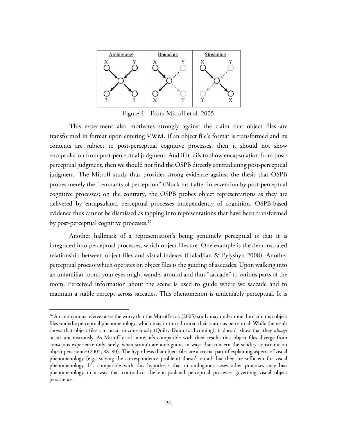![](_page_25_Figure_0.jpeg)

Figure 4—From Mitroff et al. 2005

This experiment also motivates strongly against the claim that object files are transformed in format upon entering VWM. If an object file's format is transformed and its contents are subject to post-perceptual cognitive processes, then it should not show encapsulation from post-perceptual judgment. And if it fails to show encapsulation from postperceptual judgment, then we should not find the OSPB directly contradicting post-perceptual judgment. The Mitroff study thus provides strong evidence against the thesis that OSPB probes merely the "remnants of perception" (Block ms.) after intervention by post-perceptual cognitive processes; on the contrary, the OSPB probes object representations as they are delivered by encapsulated perceptual processes independently of cognition. OSPB-based evidence thus cannot be dismissed as tapping into representations that have been transformed by post-perceptual cognitive processes.<sup>16</sup>

Another hallmark of a representation's being genuinely perceptual is that it is integrated into perceptual processes, which object files are. One example is the demonstrated relationship between object files and visual indexes (Haladjian & Pylyshyn 2008). Another perceptual process which operates on object files is the guiding of saccades. Upon walking into an unfamiliar room, your eyes might wander around and thus "saccade" to various parts of the room. Perceived information about the scene is used to guide where we saccade and to maintain a stable percept across saccades. This phenomenon is undeniably perceptual. It is

<sup>&</sup>lt;sup>16</sup> An anonymous referee raises the worry that the Mitroff et al. (2005) study may undermine the claim that object files underlie perceptual phenomenology, which may in turn threaten their status as perceptual. While the result shows that object files can occur unconsciously (Quilty-Dunn forthcoming), it doesn't show that they *always* occur unconsciously. As Mitroff et al. note, it's compatible with their results that object files diverge from conscious experience only rarely, when stimuli are ambiguous in ways that concern the solidity constraint on object persistence (2005, 88–90). The hypothesis that object files are a crucial part of explaining aspects of visual phenomenology (e.g., solving the correspondence problem) doesn't entail that they are sufficient for visual phenomenology. It's compatible with this hypothesis that in ambiguous cases other processes may bias phenomenology in a way that contradicts the encapsulated perceptual processes governing visual object persistence.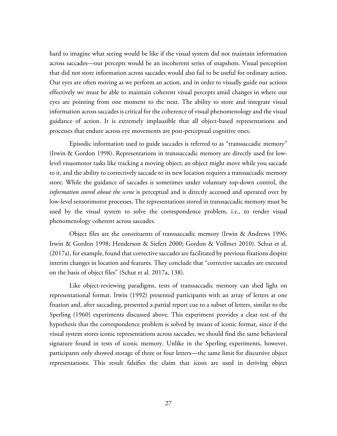hard to imagine what seeing would be like if the visual system did not maintain information across saccades—our percepts would be an incoherent series of snapshots. Visual perception that did not store information across saccades would also fail to be useful for ordinary action. Our eyes are often moving as we perform an action, and in order to visually guide our actions effectively we must be able to maintain coherent visual percepts amid changes in where our eyes are pointing from one moment to the next. The ability to store and integrate visual information across saccades is critical for the coherence of visual phenomenology and the visual guidance of action. It is extremely implausible that all object-based representations and processes that endure across eye movements are post-perceptual cognitive ones.

Episodic information used to guide saccades is referred to as "transsaccadic memory" (Irwin & Gordon 1998). Representations in transsaccadic memory are directly used for lowlevel visuomotor tasks like tracking a moving object; an object might move while you saccade to it, and the ability to correctively saccade to its new location requires a transsaccadic memory store. While the guidance of saccades is sometimes under voluntary top-down control, the *information stored about the scene* is perceptual and is directly accessed and operated over by low-level sensorimotor processes. The representations stored in transsaccadic memory must be used by the visual system to solve the correspondence problem, i.e., to render visual phenomenology coherent across saccades.

Object files are the constituents of transsaccadic memory (Irwin & Andrews 1996; Irwin & Gordon 1998; Henderson & Siefert 2000; Gordon & Vollmer 2010). Schut et al. (2017a), for example, found that corrective saccades are facilitated by previous fixations despite interim changes in location and features. They conclude that "corrective saccades are executed on the basis of object files" (Schut et al. 2017a, 138).

Like object-reviewing paradigms, tests of transsaccadic memory can shed light on representational format. Irwin (1992) presented participants with an array of letters at one fixation and, after saccading, presented a partial report cue to a subset of letters, similar to the Sperling (1960) experiments discussed above. This experiment provides a clear test of the hypothesis that the correspondence problem is solved by means of iconic format, since if the visual system stores iconic representations across saccades, we should find the same behavioral signature found in tests of iconic memory. Unlike in the Sperling experiments, however, participants only showed storage of three or four letters—the same limit for discursive object representations. This result falsifies the claim that icons are used in deriving object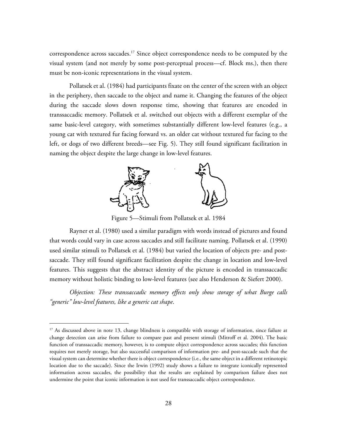correspondence across saccades.<sup>17</sup> Since object correspondence needs to be computed by the visual system (and not merely by some post-perceptual process—cf. Block ms.), then there must be non-iconic representations in the visual system.

Pollatsek et al. (1984) had participants fixate on the center of the screen with an object in the periphery, then saccade to the object and name it. Changing the features of the object during the saccade slows down response time, showing that features are encoded in transsaccadic memory. Pollatsek et al. switched out objects with a different exemplar of the same basic-level category, with sometimes substantially different low-level features (e.g., a young cat with textured fur facing forward vs. an older cat without textured fur facing to the left, or dogs of two different breeds—see Fig. 5). They still found significant facilitation in naming the object despite the large change in low-level features.

![](_page_27_Figure_2.jpeg)

Figure 5—Stimuli from Pollatsek et al. 1984

Rayner et al. (1980) used a similar paradigm with words instead of pictures and found that words could vary in case across saccades and still facilitate naming. Pollatsek et al. (1990) used similar stimuli to Pollatsek et al. (1984) but varied the location of objects pre- and postsaccade. They still found significant facilitation despite the change in location and low-level features. This suggests that the abstract identity of the picture is encoded in transsaccadic memory without holistic binding to low-level features (see also Henderson & Siefert 2000).

*Objection: These transsaccadic memory effects only show storage of what Burge calls "generic" low-level features, like a generic cat shape*.

<sup>&</sup>lt;sup>17</sup> As discussed above in note 13, change blindness is compatible with storage of information, since failure at change detection can arise from failure to compare past and present stimuli (Mitroff et al. 2004). The basic function of transsaccadic memory, however, is to compute object correspondence across saccades; this function requires not merely storage, but also successful comparison of information pre- and post-saccade such that the visual system can determine whether there is object correspondence (i.e., the same object in a different retinotopic location due to the saccade). Since the Irwin (1992) study shows a failure to integrate iconically represented information across saccades, the possibility that the results are explained by comparison failure does not undermine the point that iconic information is not used for transsaccadic object correspondence.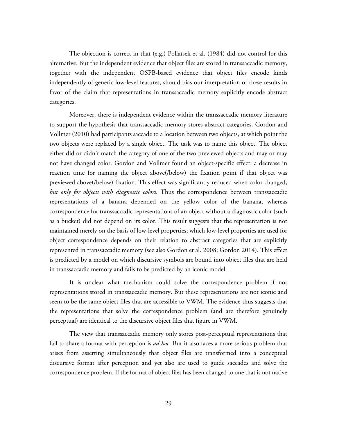The objection is correct in that (e.g.) Pollatsek et al. (1984) did not control for this alternative. But the independent evidence that object files are stored in transsaccadic memory, together with the independent OSPB-based evidence that object files encode kinds independently of generic low-level features, should bias our interpretation of these results in favor of the claim that representations in transsaccadic memory explicitly encode abstract categories.

Moreover, there is independent evidence within the transsaccadic memory literature to support the hypothesis that transsaccadic memory stores abstract categories. Gordon and Vollmer (2010) had participants saccade to a location between two objects, at which point the two objects were replaced by a single object. The task was to name this object. The object either did or didn't match the category of one of the two previewed objects and may or may not have changed color. Gordon and Vollmer found an object-specific effect: a decrease in reaction time for naming the object above(/below) the fixation point if that object was previewed above(/below) fixation. This effect was significantly reduced when color changed, *but only for objects with diagnostic colors*. Thus the correspondence between transsaccadic representations of a banana depended on the yellow color of the banana, whereas correspondence for transsaccadic representations of an object without a diagnostic color (such as a bucket) did not depend on its color. This result suggests that the representation is not maintained merely on the basis of low-level properties; which low-level properties are used for object correspondence depends on their relation to abstract categories that are explicitly represented in transsaccadic memory (see also Gordon et al. 2008; Gordon 2014). This effect is predicted by a model on which discursive symbols are bound into object files that are held in transsaccadic memory and fails to be predicted by an iconic model.

It is unclear what mechanism could solve the correspondence problem if not representations stored in transsaccadic memory. But these representations are not iconic and seem to be the same object files that are accessible to VWM. The evidence thus suggests that the representations that solve the correspondence problem (and are therefore genuinely perceptual) are identical to the discursive object files that figure in VWM.

The view that transsaccadic memory only stores post-perceptual representations that fail to share a format with perception is *ad hoc*. But it also faces a more serious problem that arises from asserting simultaneously that object files are transformed into a conceptual discursive format after perception and yet also are used to guide saccades and solve the correspondence problem. If the format of object files has been changed to one that is not native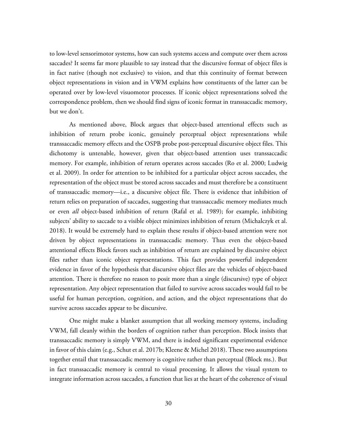to low-level sensorimotor systems, how can such systems access and compute over them across saccades? It seems far more plausible to say instead that the discursive format of object files is in fact native (though not exclusive) to vision, and that this continuity of format between object representations in vision and in VWM explains how constituents of the latter can be operated over by low-level visuomotor processes. If iconic object representations solved the correspondence problem, then we should find signs of iconic format in transsaccadic memory, but we don't.

As mentioned above, Block argues that object-based attentional effects such as inhibition of return probe iconic, genuinely perceptual object representations while transsaccadic memory effects and the OSPB probe post-perceptual discursive object files. This dichotomy is untenable, however, given that object-based attention uses transsaccadic memory. For example, inhibition of return operates across saccades (Ro et al. 2000; Ludwig et al. 2009). In order for attention to be inhibited for a particular object across saccades, the representation of the object must be stored across saccades and must therefore be a constituent of transsaccadic memory—i.e., a discursive object file. There is evidence that inhibition of return relies on preparation of saccades, suggesting that transsaccadic memory mediates much or even *all* object-based inhibition of return (Rafal et al. 1989); for example, inhibiting subjects' ability to saccade to a visible object minimizes inhibition of return (Michalczyk et al. 2018). It would be extremely hard to explain these results if object-based attention were not driven by object representations in transsaccadic memory. Thus even the object-based attentional effects Block favors such as inhibition of return are explained by discursive object files rather than iconic object representations. This fact provides powerful independent evidence in favor of the hypothesis that discursive object files are the vehicles of object-based attention. There is therefore no reason to posit more than a single (discursive) type of object representation. Any object representation that failed to survive across saccades would fail to be useful for human perception, cognition, and action, and the object representations that do survive across saccades appear to be discursive.

One might make a blanket assumption that all working memory systems, including VWM, fall cleanly within the borders of cognition rather than perception. Block insists that transsaccadic memory is simply VWM, and there is indeed significant experimental evidence in favor of this claim (e.g., Schut et al. 2017b; Kleene & Michel 2018). These two assumptions together entail that transsaccadic memory is cognitive rather than perceptual (Block ms.). But in fact transsaccadic memory is central to visual processing. It allows the visual system to integrate information across saccades, a function that lies at the heart of the coherence of visual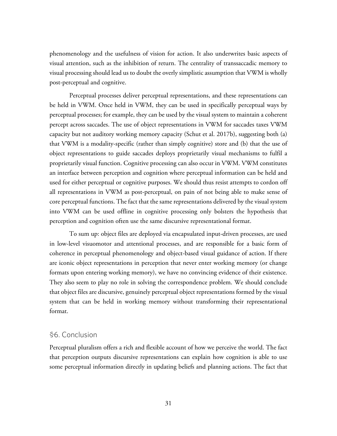phenomenology and the usefulness of vision for action. It also underwrites basic aspects of visual attention, such as the inhibition of return. The centrality of transsaccadic memory to visual processing should lead us to doubt the overly simplistic assumption that VWM is wholly post-perceptual and cognitive.

Perceptual processes deliver perceptual representations, and these representations can be held in VWM. Once held in VWM, they can be used in specifically perceptual ways by perceptual processes; for example, they can be used by the visual system to maintain a coherent percept across saccades. The use of object representations in VWM for saccades taxes VWM capacity but not auditory working memory capacity (Schut et al. 2017b), suggesting both (a) that VWM is a modality-specific (rather than simply cognitive) store and (b) that the use of object representations to guide saccades deploys proprietarily visual mechanisms to fulfil a proprietarily visual function. Cognitive processing can also occur in VWM. VWM constitutes an interface between perception and cognition where perceptual information can be held and used for either perceptual or cognitive purposes. We should thus resist attempts to cordon off all representations in VWM as post-perceptual, on pain of not being able to make sense of core perceptual functions. The fact that the same representations delivered by the visual system into VWM can be used offline in cognitive processing only bolsters the hypothesis that perception and cognition often use the same discursive representational format.

To sum up: object files are deployed via encapsulated input-driven processes, are used in low-level visuomotor and attentional processes, and are responsible for a basic form of coherence in perceptual phenomenology and object-based visual guidance of action. If there are iconic object representations in perception that never enter working memory (or change formats upon entering working memory), we have no convincing evidence of their existence. They also seem to play no role in solving the correspondence problem. We should conclude that object files are discursive, genuinely perceptual object representations formed by the visual system that can be held in working memory without transforming their representational format.

#### §6. Conclusion

Perceptual pluralism offers a rich and flexible account of how we perceive the world. The fact that perception outputs discursive representations can explain how cognition is able to use some perceptual information directly in updating beliefs and planning actions. The fact that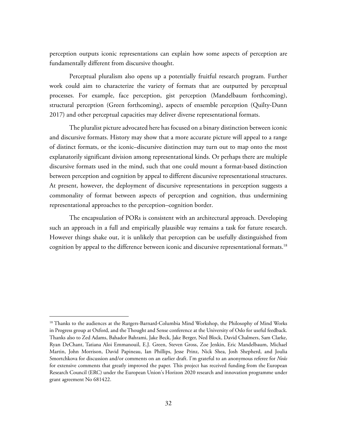perception outputs iconic representations can explain how some aspects of perception are fundamentally different from discursive thought.

Perceptual pluralism also opens up a potentially fruitful research program. Further work could aim to characterize the variety of formats that are outputted by perceptual processes. For example, face perception, gist perception (Mandelbaum forthcoming), structural perception (Green forthcoming), aspects of ensemble perception (Quilty-Dunn 2017) and other perceptual capacities may deliver diverse representational formats.

The pluralist picture advocated here has focused on a binary distinction between iconic and discursive formats. History may show that a more accurate picture will appeal to a range of distinct formats, or the iconic–discursive distinction may turn out to map onto the most explanatorily significant division among representational kinds. Or perhaps there are multiple discursive formats used in the mind, such that one could mount a format-based distinction between perception and cognition by appeal to different discursive representational structures. At present, however, the deployment of discursive representations in perception suggests a commonality of format between aspects of perception and cognition, thus undermining representational approaches to the perception–cognition border.

The encapsulation of PORs is consistent with an architectural approach. Developing such an approach in a full and empirically plausible way remains a task for future research. However things shake out, it is unlikely that perception can be usefully distinguished from cognition by appeal to the difference between iconic and discursive representational formats.<sup>18</sup>

<sup>&</sup>lt;sup>18</sup> Thanks to the audiences at the Rutgers-Barnard-Columbia Mind Workshop, the Philosophy of Mind Works in Progress group at Oxford, and the Thought and Sense conference at the University of Oslo for useful feedback. Thanks also to Zed Adams, Bahador Bahrami, Jake Beck, Jake Berger, Ned Block, David Chalmers, Sam Clarke, Ryan DeChant, Tatiana Aloi Emmanouil, E.J. Green, Steven Gross, Zoe Jenkin, Eric Mandelbaum, Michael Martin, John Morrison, David Papineau, Ian Phillips, Jesse Prinz, Nick Shea, Josh Shepherd, and Joulia Smortchkova for discussion and/or comments on an earlier draft. I'm grateful to an anonymous referee for *Noûs* for extensive comments that greatly improved the paper. This project has received funding from the European Research Council (ERC) under the European Union's Horizon 2020 research and innovation programme under grant agreement No 681422.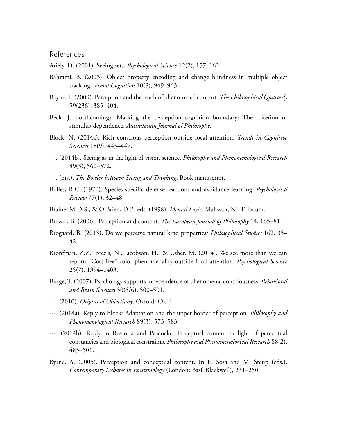#### References

Ariely, D. (2001). Seeing sets. *Psychological Science* 12(2), 157–162.

- Bahrami, B. (2003). Object property encoding and change blindness in multiple object tracking. *Visual Cognition* 10(8), 949–963.
- Bayne, T. (2009). Perception and the reach of phenomenal content. *The Philosophical Quarterly* 59(236), 385–404.
- Beck, J. (forthcoming). Marking the perception–cognition boundary: The criterion of stimulus-dependence. *Australasian Journal of Philosophy*.
- Block, N. (2014a). Rich conscious perception outside focal attention. *Trends in Cognitive Sciences* 18(9), 445–447.
- ---. (2014b). Seeing-as in the light of vision science. *Philosophy and Phenomenological Research* 89(3), 560–572.
- ---. (ms.). *The Border between Seeing and Thinking*. Book manuscript.
- Bolles, R.C. (1970). Species-specific defense reactions and avoidance learning. *Psychological Review* 77(1), 32–48.
- Braine, M.D.S., & O'Brien, D.P., eds. (1998). *Mental Logic*. Mahwah, NJ: Erlbaum.
- Brewer, B. (2006). Perception and content. *The European Journal of Philosophy* 14, 165–81.
- Brogaard, B. (2013). Do we perceive natural kind properties? *Philosophical Studies* 162, 35– 42.
- Bronfman, Z.Z., Brezis, N., Jacobson, H., & Usher, M. (2014). We see more than we can report: "Cost free" color phenomenality outside focal attention. *Psychological Science* 25(7), 1394–1403.
- Burge, T. (2007). Psychology supports independence of phenomenal consciousness. *Behavioral and Brain Sciences* 30(5/6), 500–501.
- ---. (2010). *Origins of Objectivity*. Oxford: OUP.
- ---. (2014a). Reply to Block: Adaptation and the upper border of perception. *Philosophy and Phenomenological Research* 89(3), 573–583.
- ---. (2014b). Reply to Rescorla and Peacocke: Perceptual content in light of perceptual constancies and biological constraints. *Philosophy and Phenomenological Research* 88(2), 485–501.
- Byrne, A. (2005). Perception and conceptual content. In E. Sosa and M. Steup (eds.), *Contemporary Debates in Epistemology* (London: Basil Blackwell), 231–250.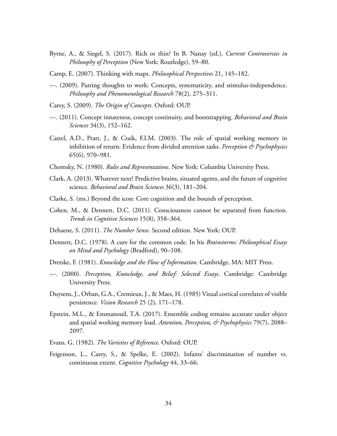- Byrne, A., & Siegel, S. (2017). Rich or thin? In B. Nanay (ed.), *Current Controversies in Philosophy of Perception* (New York: Routledge), 59–80.
- Camp, E. (2007). Thinking with maps. *Philosophical Perspectives* 21, 145–182.
- ---. (2009). Putting thoughts to work: Concepts, systematicity, and stimulus-independence. *Philosophy and Phenomenological Research* 78(2), 275–311.
- Carey, S. (2009). *The Origin of Concepts*. Oxford: OUP.
- ---. (2011). Concept innateness, concept continuity, and bootstrapping. *Behavioral and Brain Sciences* 34(3), 152–162.
- Castel, A.D., Pratt, J., & Craik, F.I.M. (2003). The role of spatial working memory in inhibition of return: Evidence from divided attention tasks. *Perception & Psychophysics* 65(6), 970–981.
- Chomsky, N. (1980). *Rules and Representations*. New York: Columbia University Press.
- Clark, A. (2013). Whatever next? Predictive brains, situated agents, and the future of cognitive science. *Behavioral and Brain Sciences* 36(3), 181–204.
- Clarke, S. (ms.) Beyond the icon: Core cognition and the bounds of perception.
- Cohen, M., & Dennett, D.C. (2011). Consciousness cannot be separated from function. *Trends in Cognitive Sciences* 15(8), 358–364.
- Dehaene, S. (2011). *The Number Sense*. Second edition. New York: OUP.
- Dennett, D.C. (1978). A cure for the common code. In his *Brainstorms: Philosophical Essays on Mind and Psychology* (Bradford), 90–108.
- Dretske, F. (1981). *Knowledge and the Flow of Information*. Cambridge, MA: MIT Press.
- ---. (2000). *Perception, Knowledge, and Belief: Selected Essays*. Cambridge: Cambridge University Press.
- Duysens, J., Orban, G.A., Cremieux, J., & Maes, H. (1985) Visual cortical correlates of visible persistence. *Vision Research* 25 (2), 171–178.
- Epstein, M.L., & Emmanouil, T.A. (2017). Ensemble coding remains accurate under object and spatial working memory load. *Attention, Perception, & Psychophysics* 79(7), 2088– 2097.
- Evans, G. (1982). *The Varieties of Reference*. Oxford: OUP.
- Feigenson, L., Carey, S., & Spelke, E. (2002). Infants' discrimination of number vs. continuous extent. *Cognitive Psychology* 44, 33–66.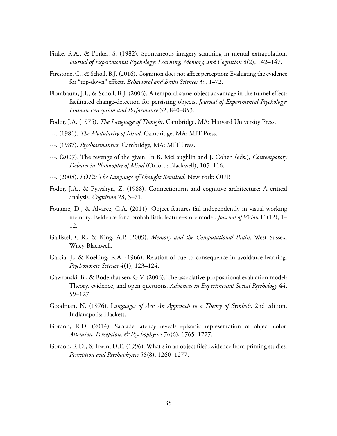- Finke, R.A., & Pinker, S. (1982). Spontaneous imagery scanning in mental extrapolation. *Journal of Experimental Psychology: Learning, Memory, and Cognition* 8(2), 142–147.
- Firestone, C., & Scholl, B.J. (2016). Cognition does not affect perception: Evaluating the evidence for "top-down" effects. *Behavioral and Brain Sciences* 39, 1–72.
- Flombaum, J.I., & Scholl, B.J. (2006). A temporal same-object advantage in the tunnel effect: facilitated change-detection for persisting objects. *Journal of Experimental Psychology: Human Perception and Performance* 32, 840–853.
- Fodor, J.A. (1975). *The Language of Thought*. Cambridge, MA: Harvard University Press.
- ---. (1981). *The Modularity of Mind*. Cambridge, MA: MIT Press.
- ---. (1987). *Psychosemantics*. Cambridge, MA: MIT Press.
- ---. (2007). The revenge of the given. In B. McLaughlin and J. Cohen (eds.), *Contemporary Debates in Philosophy of Mind* (Oxford: Blackwell), 105–116.
- ---. (2008). *LOT2: The Language of Thought Revisited*. New York: OUP.
- Fodor, J.A., & Pylyshyn, Z. (1988). Connectionism and cognitive architecture: A critical analysis. *Cognition* 28, 3–71.
- Fougnie, D., & Alvarez, G.A. (2011). Object features fail independently in visual working memory: Evidence for a probabilistic feature–store model. *Journal of Vision* 11(12), 1– 12.
- Gallistel, C.R., & King, A.P. (2009). *Memory and the Computational Brain*. West Sussex: Wiley-Blackwell.
- Garcia, J., & Koelling, R.A. (1966). Relation of cue to consequence in avoidance learning. *Psychonomic Science* 4(1), 123–124.
- Gawronski, B., & Bodenhausen, G.V. (2006). The associative-propositional evaluation model: Theory, evidence, and open questions. *Advances in Experimental Social Psychology* 44, 59–127.
- Goodman, N. (1976). L*anguages of Art: An Approach to a Theory of Symbols*. 2nd edition. Indianapolis: Hackett.
- Gordon, R.D. (2014). Saccade latency reveals episodic representation of object color. *Attention, Perception, & Psychophysics* 76(6), 1765–1777.
- Gordon, R.D., & Irwin, D.E. (1996). What's in an object file? Evidence from priming studies. *Perception and Psychophysics* 58(8), 1260–1277.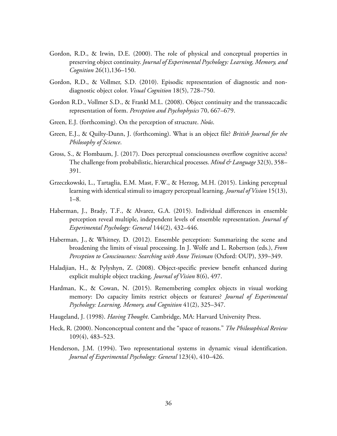- Gordon, R.D., & Irwin, D.E. (2000). The role of physical and conceptual properties in preserving object continuity. *Journal of Experimental Psychology: Learning, Memory, and Cognition* 26(1),136–150.
- Gordon, R.D., & Vollmer, S.D. (2010). Episodic representation of diagnostic and nondiagnostic object color. *Visual Cognition* 18(5), 728–750.
- Gordon R.D., Vollmer S.D., & Frankl M.L. (2008). Object continuity and the transsaccadic representation of form. *Perception and Psychophysics* 70, 667–679.
- Green, E.J. (forthcoming). On the perception of structure. *Noûs*.
- Green, E.J., & Quilty-Dunn, J. (forthcoming). What is an object file? *British Journal for the Philosophy of Science*.
- Gross, S., & Flombaum, J. (2017). Does perceptual consciousness overflow cognitive access? The challenge from probabilistic, hierarchical processes. *Mind & Language* 32(3), 358– 391.
- Grzeczkowski, L., Tartaglia, E.M. Mast, F.W., & Herzog, M.H. (2015). Linking perceptual learning with identical stimuli to imagery perceptual learning. *Journal of Vision* 15(13), 1–8.
- Haberman, J., Brady, T.F., & Alvarez, G.A. (2015). Individual differences in ensemble perception reveal multiple, independent levels of ensemble representation. *Journal of Experimental Psychology: General* 144(2), 432–446.
- Haberman, J., & Whitney, D. (2012). Ensemble perception: Summarizing the scene and broadening the limits of visual processing. In J. Wolfe and L. Robertson (eds.), *From Perception to Consciousness: Searching with Anne Treisman* (Oxford: OUP), 339–349.
- Haladjian, H., & Pylyshyn, Z. (2008). Object-specific preview benefit enhanced during explicit multiple object tracking. *Journal of Vision* 8(6), 497.
- Hardman, K., & Cowan, N. (2015). Remembering complex objects in visual working memory: Do capacity limits restrict objects or features? *Journal of Experimental Psychology: Learning, Memory, and Cognition* 41(2), 325–347.
- Haugeland, J. (1998). *Having Thought*. Cambridge, MA: Harvard University Press.
- Heck, R. (2000). Nonconceptual content and the "space of reasons." *The Philosophical Review* 109(4), 483–523.
- Henderson, J.M. (1994). Two representational systems in dynamic visual identification. *Journal of Experimental Psychology: General* 123(4), 410–426.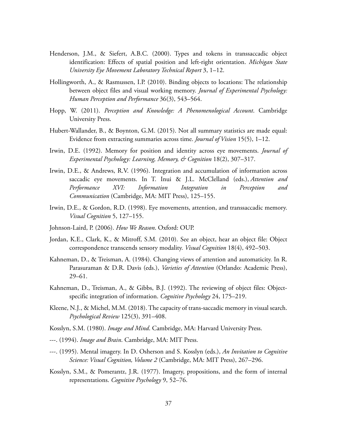- Henderson, J.M., & Siefert, A.B.C. (2000). Types and tokens in transsaccadic object identification: Effects of spatial position and left-right orientation. *Michigan State University Eye Movement Laboratory Technical Report* 3, 1–12.
- Hollingworth, A., & Rasmussen, I.P. (2010). Binding objects to locations: The relationship between object files and visual working memory. *Journal of Experimental Psychology: Human Perception and Performance* 36(3), 543–564.
- Hopp, W. (2011). *Perception and Knowledge: A Phenomenological Account*. Cambridge University Press.
- Hubert-Wallander, B., & Boynton, G.M. (2015). Not all summary statistics are made equal: Evidence from extracting summaries across time. *Journal of Vision* 15(5), 1–12.
- Irwin, D.E. (1992). Memory for position and identity across eye movements. *Journal of Experimental Psychology: Learning, Memory, & Cognition* 18(2), 307–317.
- Irwin, D.E., & Andrews, R.V. (1996). Integration and accumulation of information across saccadic eye movements. In T. Inui & J.L. McClelland (eds.), *Attention and Performance XVI: Information Integration in Perception and Communication* (Cambridge, MA: MIT Press), 125–155.
- Irwin, D.E., & Gordon, R.D. (1998). Eye movements, attention, and transsaccadic memory. *Visual Cognition* 5, 127–155.
- Johnson-Laird, P. (2006). *How We Reason*. Oxford: OUP.
- Jordan, K.E., Clark, K., & Mitroff, S.M. (2010). See an object, hear an object file: Object correspondence transcends sensory modality. *Visual Cognition* 18(4), 492–503.
- Kahneman, D., & Treisman, A. (1984). Changing views of attention and automaticity. In R. Parasuraman & D.R. Davis (eds.), *Varieties of Attention* (Orlando: Academic Press), 29–61.
- Kahneman, D., Treisman, A., & Gibbs, B.J. (1992). The reviewing of object files: Objectspecific integration of information. *Cognitive Psychology* 24, 175–219.
- Kleene, N.J., & Michel, M.M. (2018). The capacity of trans-saccadic memory in visual search. *Psychological Review* 125(3), 391–408.
- Kosslyn, S.M. (1980). *Image and Mind*. Cambridge, MA: Harvard University Press.
- ---. (1994). *Image and Brain*. Cambridge, MA: MIT Press.
- ---. (1995). Mental imagery. In D. Osherson and S. Kosslyn (eds.), *An Invitation to Cognitive Science: Visual Cognition, Volume 2* (Cambridge, MA: MIT Press), 267–296.
- Kosslyn, S.M., & Pomerantz, J.R. (1977). Imagery, propositions, and the form of internal representations. *Cognitive Psychology* 9, 52–76.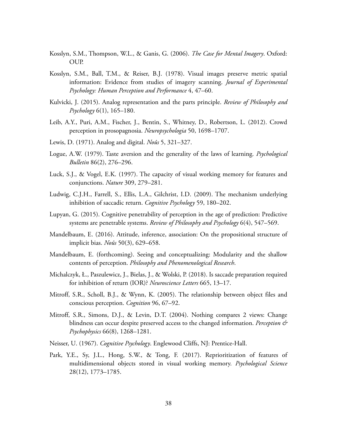- Kosslyn, S.M., Thompson, W.L., & Ganis, G. (2006). *The Case for Mental Imagery*. Oxford: OUP.
- Kosslyn, S.M., Ball, T.M., & Reiser, B.J. (1978). Visual images preserve metric spatial information: Evidence from studies of imagery scanning. *Journal of Experimental Psychology: Human Perception and Performance* 4, 47–60.
- Kulvicki, J. (2015). Analog representation and the parts principle. *Review of Philosophy and Psychology* 6(1), 165–180.
- Leib, A.Y., Puri, A.M., Fischer, J., Bentin, S., Whitney, D., Robertson, L. (2012). Crowd perception in prosopagnosia. *Neuropsychologia* 50, 1698–1707.
- Lewis, D. (1971). Analog and digital. *Noûs* 5, 321–327.
- Logue, A.W. (1979). Taste aversion and the generality of the laws of learning. *Psychological Bulletin* 86(2), 276–296.
- Luck, S.J., & Vogel, E.K. (1997). The capacity of visual working memory for features and conjunctions. *Nature* 309, 279–281.
- Ludwig, C.J.H., Farrell, S., Ellis, L.A., Gilchrist, I.D. (2009). The mechanism underlying inhibition of saccadic return. *Cognitive Psychology* 59, 180–202.
- Lupyan, G. (2015). Cognitive penetrability of perception in the age of prediction: Predictive systems are penetrable systems. *Review of Philosophy and Psychology* 6(4), 547–569.
- Mandelbaum, E. (2016). Attitude, inference, association: On the propositional structure of implicit bias. *Noûs* 50(3), 629–658.
- Mandelbaum, E. (forthcoming). Seeing and conceptualizing: Modularity and the shallow contents of perception. *Philosophy and Phenomenological Research*.
- Michalczyk, Ł., Paszulewicz, J., Bielas, J., & Wolski, P. (2018). Is saccade preparation required for inhibition of return (IOR)? *Neuroscience Letters* 665, 13–17.
- Mitroff, S.R., Scholl, B.J., & Wynn, K. (2005). The relationship between object files and conscious perception. *Cognition* 96, 67–92.
- Mitroff, S.R., Simons, D.J., & Levin, D.T. (2004). Nothing compares 2 views: Change blindness can occur despite preserved access to the changed information. *Perception & Psychophysics* 66(8), 1268–1281.
- Neisser, U. (1967). *Cognitive Psychology*. Englewood Cliffs, NJ: Prentice-Hall.
- Park, Y.E., Sy, J.L., Hong, S.W., & Tong, F. (2017). Reprioritization of features of multidimensional objects stored in visual working memory. *Psychological Science* 28(12), 1773–1785.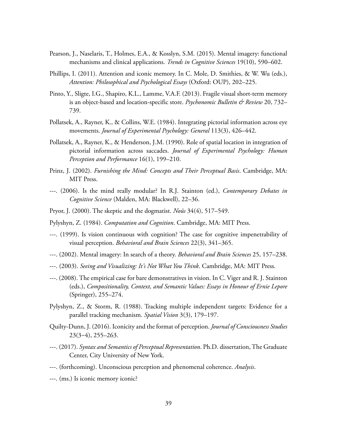- Pearson, J., Naselaris, T., Holmes, E.A., & Kosslyn, S.M. (2015). Mental imagery: functional mechanisms and clinical applications. *Trends in Cognitive Sciences* 19(10), 590–602.
- Phillips, I. (2011). Attention and iconic memory. In C. Mole, D. Smithies, & W. Wu (eds.), *Attention: Philosophical and Psychological Essays* (Oxford: OUP), 202–225.
- Pinto, Y., Sligte, I.G., Shapiro, K.L., Lamme, V.A.F. (2013). Fragile visual short-term memory is an object-based and location-specific store. *Psychonomic Bulletin & Review* 20, 732– 739.
- Pollatsek, A., Rayner, K., & Collins, W.E. (1984). Integrating pictorial information across eye movements. *Journal of Experimental Psychology: General* 113(3), 426–442.
- Pollatsek, A., Rayner, K., & Henderson, J.M. (1990). Role of spatial location in integration of pictorial information across saccades. *Journal of Experimental Psychology: Human Perception and Performance* 16(1), 199–210.
- Prinz, J. (2002). *Furnishing the Mind: Concepts and Their Perceptual Basis*. Cambridge, MA: MIT Press.
- ---. (2006). Is the mind really modular? In R.J. Stainton (ed.), *Contemporary Debates in Cognitive Science* (Malden, MA: Blackwell), 22–36.
- Pryor, J. (2000). The skeptic and the dogmatist. *Noûs* 34(4), 517–549.
- Pylyshyn, Z. (1984). *Computation and Cognition*. Cambridge, MA: MIT Press.
- ---. (1999). Is vision continuous with cognition? The case for cognitive impenetrability of visual perception. *Behavioral and Brain Sciences* 22(3), 341–365.
- ---. (2002). Mental imagery: In search of a theory. *Behavioral and Brain Sciences* 25, 157–238.
- ---. (2003). *Seeing and Visualizing: It's Not What You Think*. Cambridge, MA: MIT Press.
- ---. (2008). The empirical case for bare demonstratives in vision. In C. Viger and R. J. Stainton (eds.), *Compositionality, Context, and Semantic Values: Essays in Honour of Ernie Lepore* (Springer), 255–274.
- Pylyshyn, Z., & Storm, R. (1988). Tracking multiple independent targets: Evidence for a parallel tracking mechanism. *Spatial Vision* 3(3), 179–197.
- Quilty-Dunn, J. (2016). Iconicity and the format of perception. *Journal of Consciousness Studies* 23(3–4), 255–263.
- ---. (2017). *Syntax and Semantics of Perceptual Representation*. Ph.D. dissertation, The Graduate Center, City University of New York.
- ---. (forthcoming). Unconscious perception and phenomenal coherence. *Analysis*.
- ---. (ms.) Is iconic memory iconic?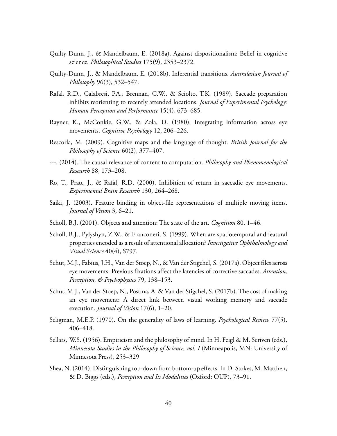- Quilty-Dunn, J., & Mandelbaum, E. (2018a). Against dispositionalism: Belief in cognitive science. *Philosophical Studies* 175(9), 2353–2372.
- Quilty-Dunn, J., & Mandelbaum, E. (2018b). Inferential transitions. *Australasian Journal of Philosophy* 96(3), 532–547.
- Rafal, R.D., Calabresi, P.A., Brennan, C.W., & Sciolto, T.K. (1989). Saccade preparation inhibits reorienting to recently attended locations. *Journal of Experimental Psychology: Human Perception and Performance* 15(4), 673–685.
- Rayner, K., McConkie, G.W., & Zola, D. (1980). Integrating information across eye movements. *Cognitive Psychology* 12, 206–226.
- Rescorla, M. (2009). Cognitive maps and the language of thought. *British Journal for the Philosophy of Science* 60(2), 377–407.
- ---. (2014). The causal relevance of content to computation. *Philosophy and Phenomenological Research* 88, 173–208.
- Ro, T., Pratt, J., & Rafal, R.D. (2000). Inhibition of return in saccadic eye movements. *Experimental Brain Research* 130, 264–268.
- Saiki, J. (2003). Feature binding in object-file representations of multiple moving items. *Journal of Vision* 3, 6–21.
- Scholl, B.J. (2001). Objects and attention: The state of the art. *Cognition* 80, 1–46.
- Scholl, B.J., Pylyshyn, Z.W., & Franconeri, S. (1999). When are spatiotemporal and featural properties encoded as a result of attentional allocation? *Investigative Ophthalmology and Visual Science* 40(4), S797.
- Schut, M.J., Fabius, J.H., Van der Stoep, N., & Van der Stigchel, S. (2017a). Object files across eye movements: Previous fixations affect the latencies of corrective saccades. *Attention, Perception, & Psychophysics* 79, 138–153.
- Schut, M.J., Van der Stoep, N., Postma, A. & Van der Stigchel, S. (2017b). The cost of making an eye movement: A direct link between visual working memory and saccade execution. *Journal of Vision* 17(6), 1–20.
- Seligman, M.E.P. (1970). On the generality of laws of learning. *Psychological Review* 77(5), 406–418.
- Sellars, W.S. (1956). Empiricism and the philosophy of mind. In H. Feigl & M. Scriven (eds.), *Minnesota Studies in the Philosophy of Science, vol. I* (Minneapolis, MN: University of Minnesota Press), 253–329
- Shea, N. (2014). Distinguishing top-down from bottom-up effects. In D. Stokes, M. Matthen, & D. Biggs (eds.), *Perception and Its Modalities* (Oxford: OUP), 73–91.